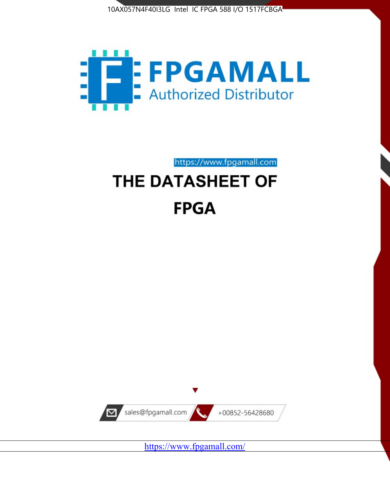



https://www.fpgamall.com

# THE DATASHEET OF **FPGA**



<https://www.fpgamall.com/>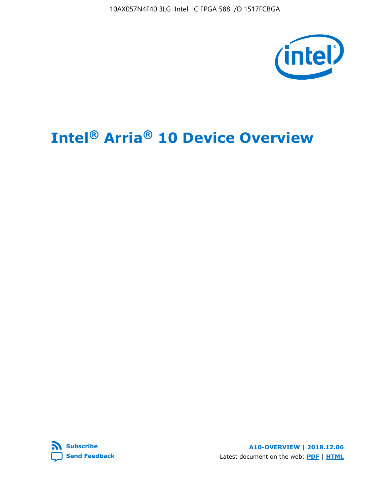10AX057N4F40I3LG Intel IC FPGA 588 I/O 1517FCBGA



# **Intel® Arria® 10 Device Overview**



**A10-OVERVIEW | 2018.12.06** Latest document on the web: **[PDF](https://www.intel.com/content/dam/www/programmable/us/en/pdfs/literature/hb/arria-10/a10_overview.pdf)** | **[HTML](https://www.intel.com/content/www/us/en/programmable/documentation/sam1403480274650.html)**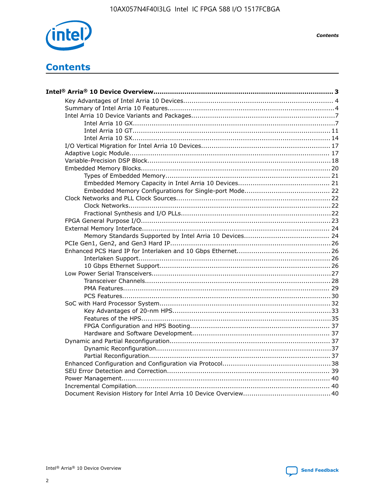

**Contents** 

# **Contents**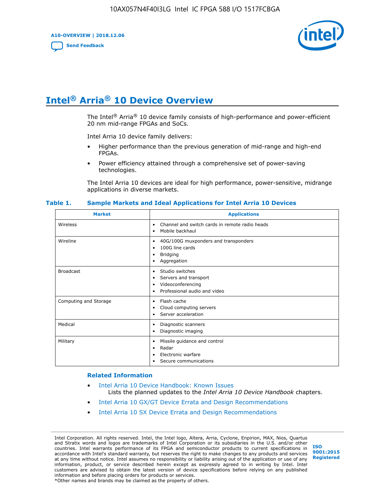**A10-OVERVIEW | 2018.12.06**

**[Send Feedback](mailto:FPGAtechdocfeedback@intel.com?subject=Feedback%20on%20Intel%20Arria%2010%20Device%20Overview%20(A10-OVERVIEW%202018.12.06)&body=We%20appreciate%20your%20feedback.%20In%20your%20comments,%20also%20specify%20the%20page%20number%20or%20paragraph.%20Thank%20you.)**



# **Intel® Arria® 10 Device Overview**

The Intel<sup>®</sup> Arria<sup>®</sup> 10 device family consists of high-performance and power-efficient 20 nm mid-range FPGAs and SoCs.

Intel Arria 10 device family delivers:

- Higher performance than the previous generation of mid-range and high-end FPGAs.
- Power efficiency attained through a comprehensive set of power-saving technologies.

The Intel Arria 10 devices are ideal for high performance, power-sensitive, midrange applications in diverse markets.

| <b>Market</b>         | <b>Applications</b>                                                                                               |
|-----------------------|-------------------------------------------------------------------------------------------------------------------|
| Wireless              | Channel and switch cards in remote radio heads<br>٠<br>Mobile backhaul<br>٠                                       |
| Wireline              | 40G/100G muxponders and transponders<br>٠<br>100G line cards<br>٠<br><b>Bridging</b><br>٠<br>Aggregation<br>٠     |
| <b>Broadcast</b>      | Studio switches<br>٠<br>Servers and transport<br>٠<br>Videoconferencing<br>٠<br>Professional audio and video<br>٠ |
| Computing and Storage | Flash cache<br>٠<br>Cloud computing servers<br>٠<br>Server acceleration<br>٠                                      |
| Medical               | Diagnostic scanners<br>٠<br>Diagnostic imaging<br>٠                                                               |
| Military              | Missile guidance and control<br>٠<br>Radar<br>٠<br>Electronic warfare<br>٠<br>Secure communications<br>٠          |

#### **Table 1. Sample Markets and Ideal Applications for Intel Arria 10 Devices**

#### **Related Information**

- [Intel Arria 10 Device Handbook: Known Issues](http://www.altera.com/support/kdb/solutions/rd07302013_646.html) Lists the planned updates to the *Intel Arria 10 Device Handbook* chapters.
- [Intel Arria 10 GX/GT Device Errata and Design Recommendations](https://www.intel.com/content/www/us/en/programmable/documentation/agz1493851706374.html#yqz1494433888646)
- [Intel Arria 10 SX Device Errata and Design Recommendations](https://www.intel.com/content/www/us/en/programmable/documentation/cru1462832385668.html#cru1462832558642)

Intel Corporation. All rights reserved. Intel, the Intel logo, Altera, Arria, Cyclone, Enpirion, MAX, Nios, Quartus and Stratix words and logos are trademarks of Intel Corporation or its subsidiaries in the U.S. and/or other countries. Intel warrants performance of its FPGA and semiconductor products to current specifications in accordance with Intel's standard warranty, but reserves the right to make changes to any products and services at any time without notice. Intel assumes no responsibility or liability arising out of the application or use of any information, product, or service described herein except as expressly agreed to in writing by Intel. Intel customers are advised to obtain the latest version of device specifications before relying on any published information and before placing orders for products or services. \*Other names and brands may be claimed as the property of others.

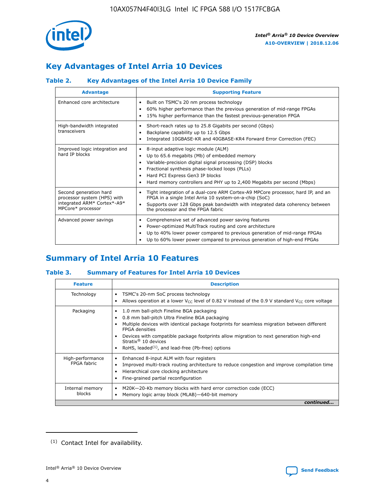

## **Key Advantages of Intel Arria 10 Devices**

## **Table 2. Key Advantages of the Intel Arria 10 Device Family**

| <b>Advantage</b>                                                                                          | <b>Supporting Feature</b>                                                                                                                                                                                                                                                                                                |
|-----------------------------------------------------------------------------------------------------------|--------------------------------------------------------------------------------------------------------------------------------------------------------------------------------------------------------------------------------------------------------------------------------------------------------------------------|
| Enhanced core architecture                                                                                | Built on TSMC's 20 nm process technology<br>٠<br>60% higher performance than the previous generation of mid-range FPGAs<br>٠<br>15% higher performance than the fastest previous-generation FPGA<br>٠                                                                                                                    |
| High-bandwidth integrated<br>transceivers                                                                 | Short-reach rates up to 25.8 Gigabits per second (Gbps)<br>٠<br>Backplane capability up to 12.5 Gbps<br>٠<br>Integrated 10GBASE-KR and 40GBASE-KR4 Forward Error Correction (FEC)<br>٠                                                                                                                                   |
| Improved logic integration and<br>hard IP blocks                                                          | 8-input adaptive logic module (ALM)<br>٠<br>Up to 65.6 megabits (Mb) of embedded memory<br>٠<br>Variable-precision digital signal processing (DSP) blocks<br>Fractional synthesis phase-locked loops (PLLs)<br>Hard PCI Express Gen3 IP blocks<br>Hard memory controllers and PHY up to 2,400 Megabits per second (Mbps) |
| Second generation hard<br>processor system (HPS) with<br>integrated ARM* Cortex*-A9*<br>MPCore* processor | Tight integration of a dual-core ARM Cortex-A9 MPCore processor, hard IP, and an<br>٠<br>FPGA in a single Intel Arria 10 system-on-a-chip (SoC)<br>Supports over 128 Gbps peak bandwidth with integrated data coherency between<br>$\bullet$<br>the processor and the FPGA fabric                                        |
| Advanced power savings                                                                                    | Comprehensive set of advanced power saving features<br>٠<br>Power-optimized MultiTrack routing and core architecture<br>٠<br>Up to 40% lower power compared to previous generation of mid-range FPGAs<br>Up to 60% lower power compared to previous generation of high-end FPGAs                                         |

## **Summary of Intel Arria 10 Features**

## **Table 3. Summary of Features for Intel Arria 10 Devices**

| <b>Feature</b>                  | <b>Description</b>                                                                                                                                                                                                                                                                                                                                                                                           |
|---------------------------------|--------------------------------------------------------------------------------------------------------------------------------------------------------------------------------------------------------------------------------------------------------------------------------------------------------------------------------------------------------------------------------------------------------------|
| Technology                      | TSMC's 20-nm SoC process technology<br>Allows operation at a lower $V_{\text{CC}}$ level of 0.82 V instead of the 0.9 V standard $V_{\text{CC}}$ core voltage                                                                                                                                                                                                                                                |
| Packaging                       | 1.0 mm ball-pitch Fineline BGA packaging<br>٠<br>0.8 mm ball-pitch Ultra Fineline BGA packaging<br>Multiple devices with identical package footprints for seamless migration between different<br><b>FPGA</b> densities<br>Devices with compatible package footprints allow migration to next generation high-end<br>Stratix <sup>®</sup> 10 devices<br>RoHS, leaded $(1)$ , and lead-free (Pb-free) options |
| High-performance<br>FPGA fabric | Enhanced 8-input ALM with four registers<br>Improved multi-track routing architecture to reduce congestion and improve compilation time<br>Hierarchical core clocking architecture<br>Fine-grained partial reconfiguration                                                                                                                                                                                   |
| Internal memory<br>blocks       | M20K-20-Kb memory blocks with hard error correction code (ECC)<br>Memory logic array block (MLAB)-640-bit memory                                                                                                                                                                                                                                                                                             |
|                                 | continued                                                                                                                                                                                                                                                                                                                                                                                                    |



<sup>(1)</sup> Contact Intel for availability.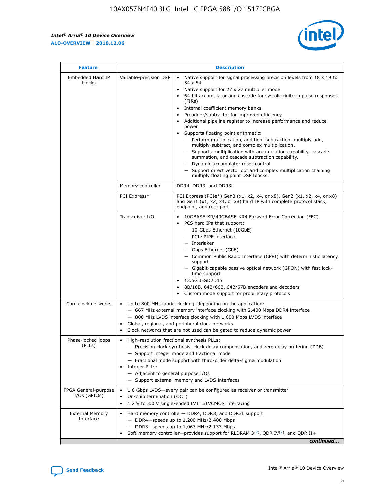r



| <b>Feature</b>                         | <b>Description</b>                                                                                             |                                                                                                                                                                                                                                                                                                                                                                                                                                                                                                                                                                                                                                                                                                                                                                                                                                        |  |  |  |  |  |
|----------------------------------------|----------------------------------------------------------------------------------------------------------------|----------------------------------------------------------------------------------------------------------------------------------------------------------------------------------------------------------------------------------------------------------------------------------------------------------------------------------------------------------------------------------------------------------------------------------------------------------------------------------------------------------------------------------------------------------------------------------------------------------------------------------------------------------------------------------------------------------------------------------------------------------------------------------------------------------------------------------------|--|--|--|--|--|
| Embedded Hard IP<br>blocks             | Variable-precision DSP                                                                                         | Native support for signal processing precision levels from $18 \times 19$ to<br>54 x 54<br>Native support for 27 x 27 multiplier mode<br>64-bit accumulator and cascade for systolic finite impulse responses<br>(FIRs)<br>Internal coefficient memory banks<br>$\bullet$<br>Preadder/subtractor for improved efficiency<br>Additional pipeline register to increase performance and reduce<br>power<br>Supports floating point arithmetic:<br>- Perform multiplication, addition, subtraction, multiply-add,<br>multiply-subtract, and complex multiplication.<br>- Supports multiplication with accumulation capability, cascade<br>summation, and cascade subtraction capability.<br>- Dynamic accumulator reset control.<br>- Support direct vector dot and complex multiplication chaining<br>multiply floating point DSP blocks. |  |  |  |  |  |
|                                        | Memory controller                                                                                              | DDR4, DDR3, and DDR3L                                                                                                                                                                                                                                                                                                                                                                                                                                                                                                                                                                                                                                                                                                                                                                                                                  |  |  |  |  |  |
|                                        | PCI Express*                                                                                                   | PCI Express (PCIe*) Gen3 (x1, x2, x4, or x8), Gen2 (x1, x2, x4, or x8)<br>and Gen1 (x1, x2, x4, or x8) hard IP with complete protocol stack,<br>endpoint, and root port                                                                                                                                                                                                                                                                                                                                                                                                                                                                                                                                                                                                                                                                |  |  |  |  |  |
|                                        | Transceiver I/O                                                                                                | 10GBASE-KR/40GBASE-KR4 Forward Error Correction (FEC)<br>PCS hard IPs that support:<br>$\bullet$<br>- 10-Gbps Ethernet (10GbE)<br>- PCIe PIPE interface<br>$-$ Interlaken<br>- Gbps Ethernet (GbE)<br>- Common Public Radio Interface (CPRI) with deterministic latency<br>support<br>- Gigabit-capable passive optical network (GPON) with fast lock-<br>time support<br>13.5G JESD204b<br>$\bullet$<br>8B/10B, 64B/66B, 64B/67B encoders and decoders<br>Custom mode support for proprietary protocols                                                                                                                                                                                                                                                                                                                               |  |  |  |  |  |
| Core clock networks                    | $\bullet$<br>$\bullet$                                                                                         | Up to 800 MHz fabric clocking, depending on the application:<br>- 667 MHz external memory interface clocking with 2,400 Mbps DDR4 interface<br>- 800 MHz LVDS interface clocking with 1,600 Mbps LVDS interface<br>Global, regional, and peripheral clock networks<br>Clock networks that are not used can be gated to reduce dynamic power                                                                                                                                                                                                                                                                                                                                                                                                                                                                                            |  |  |  |  |  |
| Phase-locked loops<br>(PLLs)           | High-resolution fractional synthesis PLLs:<br>$\bullet$<br>Integer PLLs:<br>- Adjacent to general purpose I/Os | - Precision clock synthesis, clock delay compensation, and zero delay buffering (ZDB)<br>- Support integer mode and fractional mode<br>- Fractional mode support with third-order delta-sigma modulation<br>- Support external memory and LVDS interfaces                                                                                                                                                                                                                                                                                                                                                                                                                                                                                                                                                                              |  |  |  |  |  |
| FPGA General-purpose<br>$I/Os$ (GPIOs) | On-chip termination (OCT)                                                                                      | 1.6 Gbps LVDS-every pair can be configured as receiver or transmitter<br>1.2 V to 3.0 V single-ended LVTTL/LVCMOS interfacing                                                                                                                                                                                                                                                                                                                                                                                                                                                                                                                                                                                                                                                                                                          |  |  |  |  |  |
| <b>External Memory</b><br>Interface    |                                                                                                                | Hard memory controller- DDR4, DDR3, and DDR3L support<br>$-$ DDR4 $-$ speeds up to 1,200 MHz/2,400 Mbps<br>- DDR3-speeds up to 1,067 MHz/2,133 Mbps<br>Soft memory controller—provides support for RLDRAM $3^{(2)}$ , QDR IV $^{(2)}$ , and QDR II+<br>continued                                                                                                                                                                                                                                                                                                                                                                                                                                                                                                                                                                       |  |  |  |  |  |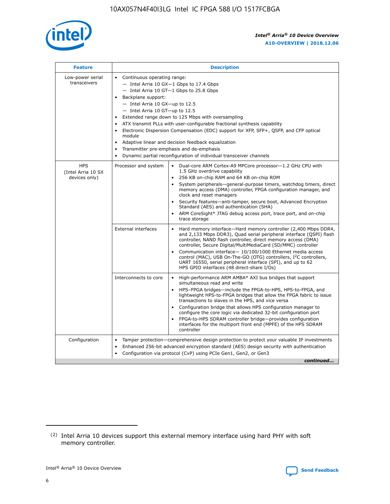

| <b>Feature</b>                                    | <b>Description</b>                                                                                                                                                                                                                                                                                                                                                                                                                                                                                                                                                                                                                                    |  |  |  |  |  |  |  |
|---------------------------------------------------|-------------------------------------------------------------------------------------------------------------------------------------------------------------------------------------------------------------------------------------------------------------------------------------------------------------------------------------------------------------------------------------------------------------------------------------------------------------------------------------------------------------------------------------------------------------------------------------------------------------------------------------------------------|--|--|--|--|--|--|--|
| Low-power serial<br>transceivers                  | • Continuous operating range:<br>- Intel Arria 10 GX-1 Gbps to 17.4 Gbps<br>- Intel Arria 10 GT-1 Gbps to 25.8 Gbps<br>Backplane support:<br>$-$ Intel Arria 10 GX-up to 12.5<br>- Intel Arria 10 GT-up to 12.5<br>Extended range down to 125 Mbps with oversampling<br>ATX transmit PLLs with user-configurable fractional synthesis capability<br>Electronic Dispersion Compensation (EDC) support for XFP, SFP+, QSFP, and CFP optical<br>module<br>Adaptive linear and decision feedback equalization<br>$\bullet$<br>Transmitter pre-emphasis and de-emphasis<br>$\bullet$<br>Dynamic partial reconfiguration of individual transceiver channels |  |  |  |  |  |  |  |
| <b>HPS</b><br>(Intel Arria 10 SX<br>devices only) | • Dual-core ARM Cortex-A9 MPCore processor-1.2 GHz CPU with<br>Processor and system<br>1.5 GHz overdrive capability<br>256 KB on-chip RAM and 64 KB on-chip ROM<br>$\bullet$<br>System peripherals—general-purpose timers, watchdog timers, direct<br>memory access (DMA) controller, FPGA configuration manager, and<br>clock and reset managers<br>Security features—anti-tamper, secure boot, Advanced Encryption<br>$\bullet$<br>Standard (AES) and authentication (SHA)<br>ARM CoreSight* JTAG debug access port, trace port, and on-chip<br>$\bullet$<br>trace storage                                                                          |  |  |  |  |  |  |  |
|                                                   | <b>External interfaces</b><br>Hard memory interface-Hard memory controller (2,400 Mbps DDR4,<br>$\bullet$<br>and 2,133 Mbps DDR3), Quad serial peripheral interface (QSPI) flash<br>controller, NAND flash controller, direct memory access (DMA)<br>controller, Secure Digital/MultiMediaCard (SD/MMC) controller<br>Communication interface-10/100/1000 Ethernet media access<br>$\bullet$<br>control (MAC), USB On-The-GO (OTG) controllers, I <sup>2</sup> C controllers,<br>UART 16550, serial peripheral interface (SPI), and up to 62<br>HPS GPIO interfaces (48 direct-share I/Os)                                                            |  |  |  |  |  |  |  |
|                                                   | High-performance ARM AMBA* AXI bus bridges that support<br>Interconnects to core<br>$\bullet$<br>simultaneous read and write<br>HPS-FPGA bridges-include the FPGA-to-HPS, HPS-to-FPGA, and<br>$\bullet$<br>lightweight HPS-to-FPGA bridges that allow the FPGA fabric to issue<br>transactions to slaves in the HPS, and vice versa<br>Configuration bridge that allows HPS configuration manager to<br>configure the core logic via dedicated 32-bit configuration port<br>FPGA-to-HPS SDRAM controller bridge-provides configuration<br>interfaces for the multiport front end (MPFE) of the HPS SDRAM<br>controller                                |  |  |  |  |  |  |  |
| Configuration                                     | Tamper protection—comprehensive design protection to protect your valuable IP investments<br>Enhanced 256-bit advanced encryption standard (AES) design security with authentication<br>٠<br>Configuration via protocol (CvP) using PCIe Gen1, Gen2, or Gen3<br>continued                                                                                                                                                                                                                                                                                                                                                                             |  |  |  |  |  |  |  |

<sup>(2)</sup> Intel Arria 10 devices support this external memory interface using hard PHY with soft memory controller.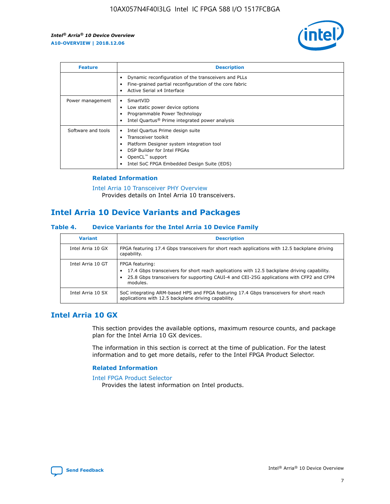

| <b>Feature</b>     | <b>Description</b>                                                                                                                                                                                               |
|--------------------|------------------------------------------------------------------------------------------------------------------------------------------------------------------------------------------------------------------|
|                    | Dynamic reconfiguration of the transceivers and PLLs<br>Fine-grained partial reconfiguration of the core fabric<br>Active Serial x4 Interface<br>$\bullet$                                                       |
| Power management   | SmartVID<br>Low static power device options<br>Programmable Power Technology<br>Intel Quartus <sup>®</sup> Prime integrated power analysis                                                                       |
| Software and tools | Intel Quartus Prime design suite<br>Transceiver toolkit<br>Platform Designer system integration tool<br>DSP Builder for Intel FPGAs<br>OpenCL <sup>™</sup> support<br>Intel SoC FPGA Embedded Design Suite (EDS) |

## **Related Information**

[Intel Arria 10 Transceiver PHY Overview](https://www.intel.com/content/www/us/en/programmable/documentation/nik1398707230472.html#nik1398706768037) Provides details on Intel Arria 10 transceivers.

## **Intel Arria 10 Device Variants and Packages**

#### **Table 4. Device Variants for the Intel Arria 10 Device Family**

| <b>Variant</b>    | <b>Description</b>                                                                                                                                                                                                     |
|-------------------|------------------------------------------------------------------------------------------------------------------------------------------------------------------------------------------------------------------------|
| Intel Arria 10 GX | FPGA featuring 17.4 Gbps transceivers for short reach applications with 12.5 backplane driving<br>capability.                                                                                                          |
| Intel Arria 10 GT | FPGA featuring:<br>17.4 Gbps transceivers for short reach applications with 12.5 backplane driving capability.<br>25.8 Gbps transceivers for supporting CAUI-4 and CEI-25G applications with CFP2 and CFP4<br>modules. |
| Intel Arria 10 SX | SoC integrating ARM-based HPS and FPGA featuring 17.4 Gbps transceivers for short reach<br>applications with 12.5 backplane driving capability.                                                                        |

## **Intel Arria 10 GX**

This section provides the available options, maximum resource counts, and package plan for the Intel Arria 10 GX devices.

The information in this section is correct at the time of publication. For the latest information and to get more details, refer to the Intel FPGA Product Selector.

#### **Related Information**

#### [Intel FPGA Product Selector](http://www.altera.com/products/selector/psg-selector.html) Provides the latest information on Intel products.

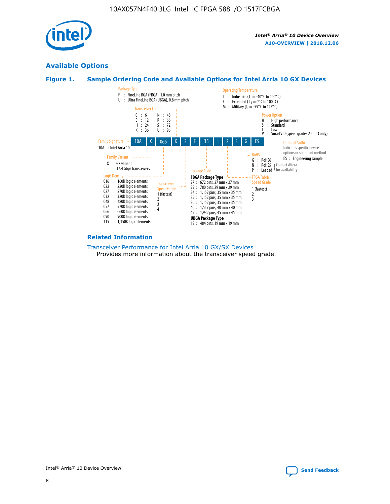

## **Available Options**





#### **Related Information**

[Transceiver Performance for Intel Arria 10 GX/SX Devices](https://www.intel.com/content/www/us/en/programmable/documentation/mcn1413182292568.html#mcn1413213965502) Provides more information about the transceiver speed grade.

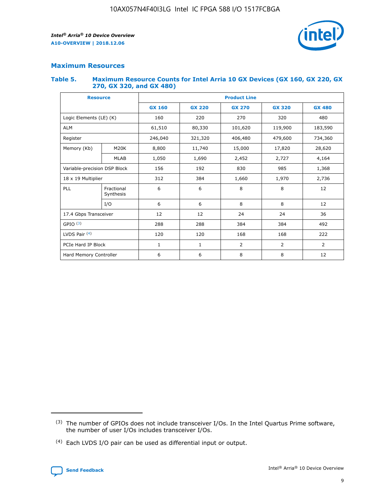

## **Maximum Resources**

#### **Table 5. Maximum Resource Counts for Intel Arria 10 GX Devices (GX 160, GX 220, GX 270, GX 320, and GX 480)**

| <b>Resource</b>              |                         | <b>Product Line</b> |                                                 |                |                |                |  |  |  |
|------------------------------|-------------------------|---------------------|-------------------------------------------------|----------------|----------------|----------------|--|--|--|
|                              |                         | <b>GX 160</b>       | <b>GX 220</b><br><b>GX 270</b><br><b>GX 320</b> |                |                | <b>GX 480</b>  |  |  |  |
| Logic Elements (LE) (K)      |                         | 160                 | 220                                             | 270            | 320            | 480            |  |  |  |
| <b>ALM</b>                   |                         | 61,510              | 80,330                                          | 101,620        | 119,900        | 183,590        |  |  |  |
| Register                     |                         | 246,040             | 406,480<br>321,320                              |                | 479,600        | 734,360        |  |  |  |
| Memory (Kb)                  | M <sub>20</sub> K       | 8,800               | 11,740                                          | 15,000         | 17,820         | 28,620         |  |  |  |
|                              | <b>MLAB</b>             | 1,050               | 1,690                                           | 2,452          | 2,727          | 4,164          |  |  |  |
| Variable-precision DSP Block |                         | 156                 | 192                                             | 830            | 985            | 1,368          |  |  |  |
| 18 x 19 Multiplier           |                         | 312                 | 384                                             | 1,970<br>1,660 |                | 2,736          |  |  |  |
| PLL                          | Fractional<br>Synthesis | 6                   | 6                                               | 8              | 8              | 12             |  |  |  |
|                              | I/O                     | 6                   | 6                                               | 8              | 8              | 12             |  |  |  |
| 17.4 Gbps Transceiver        |                         | 12                  | 12                                              | 24             | 24             | 36             |  |  |  |
| GPIO <sup>(3)</sup>          |                         | 288                 | 288                                             | 384            | 384            |                |  |  |  |
| LVDS Pair $(4)$              |                         | 120                 | 120                                             | 168            | 168            | 222            |  |  |  |
| PCIe Hard IP Block           |                         | 1                   | 1                                               | 2              | $\overline{2}$ | $\overline{2}$ |  |  |  |
| Hard Memory Controller       |                         | 6                   | 6                                               | 8              | 8              | 12             |  |  |  |

<sup>(4)</sup> Each LVDS I/O pair can be used as differential input or output.



<sup>(3)</sup> The number of GPIOs does not include transceiver I/Os. In the Intel Quartus Prime software, the number of user I/Os includes transceiver I/Os.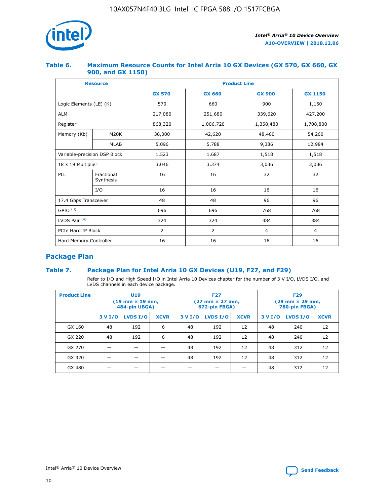

## **Table 6. Maximum Resource Counts for Intel Arria 10 GX Devices (GX 570, GX 660, GX 900, and GX 1150)**

|                              | <b>Resource</b>         | <b>Product Line</b> |                |                |                |  |  |  |
|------------------------------|-------------------------|---------------------|----------------|----------------|----------------|--|--|--|
|                              |                         | <b>GX 570</b>       | <b>GX 660</b>  | <b>GX 900</b>  | <b>GX 1150</b> |  |  |  |
| Logic Elements (LE) (K)      |                         | 570                 | 660            | 900            | 1,150          |  |  |  |
| <b>ALM</b>                   |                         | 217,080             | 251,680        | 339,620        | 427,200        |  |  |  |
| Register                     |                         | 868,320             | 1,006,720      |                | 1,708,800      |  |  |  |
| Memory (Kb)                  | <b>M20K</b>             | 36,000              | 42,620         | 48,460         | 54,260         |  |  |  |
|                              | <b>MLAB</b>             | 5,096               | 5,788          | 9,386          | 12,984         |  |  |  |
| Variable-precision DSP Block |                         | 1,523               | 1,687          | 1,518          | 1,518          |  |  |  |
| $18 \times 19$ Multiplier    |                         | 3,046               | 3,374          | 3,036          | 3,036          |  |  |  |
| PLL                          | Fractional<br>Synthesis | 16                  | 16             | 32             | 32             |  |  |  |
|                              | I/O                     | 16                  | 16             | 16             | 16             |  |  |  |
| 17.4 Gbps Transceiver        |                         | 48                  | 48<br>96       |                | 96             |  |  |  |
| GPIO <sup>(3)</sup>          |                         | 696                 | 696            | 768            | 768            |  |  |  |
| LVDS Pair $(4)$              |                         | 324                 | 324            | 384            | 384            |  |  |  |
| PCIe Hard IP Block           |                         | 2                   | $\overline{2}$ | $\overline{4}$ | 4              |  |  |  |
| Hard Memory Controller       |                         | 16                  | 16             | 16             | 16             |  |  |  |

## **Package Plan**

## **Table 7. Package Plan for Intel Arria 10 GX Devices (U19, F27, and F29)**

Refer to I/O and High Speed I/O in Intel Arria 10 Devices chapter for the number of 3 V I/O, LVDS I/O, and LVDS channels in each device package.

| <b>Product Line</b> | U <sub>19</sub><br>$(19 \text{ mm} \times 19 \text{ mm})$<br>484-pin UBGA) |          |             |         | <b>F27</b><br>(27 mm × 27 mm,<br>672-pin FBGA) |             | <b>F29</b><br>(29 mm × 29 mm,<br>780-pin FBGA) |          |             |  |
|---------------------|----------------------------------------------------------------------------|----------|-------------|---------|------------------------------------------------|-------------|------------------------------------------------|----------|-------------|--|
|                     | 3 V I/O                                                                    | LVDS I/O | <b>XCVR</b> | 3 V I/O | <b>LVDS I/O</b>                                | <b>XCVR</b> | 3 V I/O                                        | LVDS I/O | <b>XCVR</b> |  |
| GX 160              | 48                                                                         | 192      | 6           | 48      | 192                                            | 12          | 48                                             | 240      | 12          |  |
| GX 220              | 48                                                                         | 192      | 6           | 48      | 192                                            | 12          | 48                                             | 240      | 12          |  |
| GX 270              |                                                                            |          |             | 48      | 192                                            | 12          | 48                                             | 312      | 12          |  |
| GX 320              |                                                                            |          |             | 48      | 192                                            | 12          | 48                                             | 312      | 12          |  |
| GX 480              |                                                                            |          |             |         |                                                |             | 48                                             | 312      | 12          |  |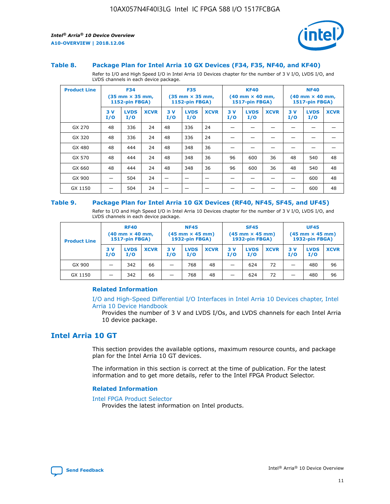

#### **Table 8. Package Plan for Intel Arria 10 GX Devices (F34, F35, NF40, and KF40)**

Refer to I/O and High Speed I/O in Intel Arria 10 Devices chapter for the number of 3 V I/O, LVDS I/O, and LVDS channels in each device package.

| <b>Product Line</b> | <b>F34</b><br>$(35 \text{ mm} \times 35 \text{ mm})$<br>1152-pin FBGA) |                    | <b>F35</b><br>$(35 \text{ mm} \times 35 \text{ mm})$<br><b>1152-pin FBGA)</b> |           | <b>KF40</b><br>$(40$ mm $\times$ 40 mm,<br>1517-pin FBGA) |             |           | <b>NF40</b><br>$(40$ mm $\times$ 40 mm,<br><b>1517-pin FBGA)</b> |             |            |                    |             |
|---------------------|------------------------------------------------------------------------|--------------------|-------------------------------------------------------------------------------|-----------|-----------------------------------------------------------|-------------|-----------|------------------------------------------------------------------|-------------|------------|--------------------|-------------|
|                     | 3V<br>I/O                                                              | <b>LVDS</b><br>I/O | <b>XCVR</b>                                                                   | 3V<br>I/O | <b>LVDS</b><br>I/O                                        | <b>XCVR</b> | 3V<br>I/O | <b>LVDS</b><br>I/O                                               | <b>XCVR</b> | 3 V<br>I/O | <b>LVDS</b><br>I/O | <b>XCVR</b> |
| GX 270              | 48                                                                     | 336                | 24                                                                            | 48        | 336                                                       | 24          |           |                                                                  |             |            |                    |             |
| GX 320              | 48                                                                     | 336                | 24                                                                            | 48        | 336                                                       | 24          |           |                                                                  |             |            |                    |             |
| GX 480              | 48                                                                     | 444                | 24                                                                            | 48        | 348                                                       | 36          |           |                                                                  |             |            |                    |             |
| GX 570              | 48                                                                     | 444                | 24                                                                            | 48        | 348                                                       | 36          | 96        | 600                                                              | 36          | 48         | 540                | 48          |
| GX 660              | 48                                                                     | 444                | 24                                                                            | 48        | 348                                                       | 36          | 96        | 600                                                              | 36          | 48         | 540                | 48          |
| GX 900              |                                                                        | 504                | 24                                                                            | -         |                                                           |             |           |                                                                  |             |            | 600                | 48          |
| GX 1150             |                                                                        | 504                | 24                                                                            |           |                                                           |             |           |                                                                  |             |            | 600                | 48          |

#### **Table 9. Package Plan for Intel Arria 10 GX Devices (RF40, NF45, SF45, and UF45)**

Refer to I/O and High Speed I/O in Intel Arria 10 Devices chapter for the number of 3 V I/O, LVDS I/O, and LVDS channels in each device package.

| <b>Product Line</b> | <b>RF40</b><br>$(40$ mm $\times$ 40 mm,<br>1517-pin FBGA) |                    |             | <b>NF45</b><br>$(45 \text{ mm} \times 45 \text{ mm})$<br><b>1932-pin FBGA)</b> |                    |             | <b>SF45</b><br>$(45 \text{ mm} \times 45 \text{ mm})$<br><b>1932-pin FBGA)</b> |                    |             | <b>UF45</b><br>$(45 \text{ mm} \times 45 \text{ mm})$<br><b>1932-pin FBGA)</b> |                    |             |
|---------------------|-----------------------------------------------------------|--------------------|-------------|--------------------------------------------------------------------------------|--------------------|-------------|--------------------------------------------------------------------------------|--------------------|-------------|--------------------------------------------------------------------------------|--------------------|-------------|
|                     | 3V<br>I/O                                                 | <b>LVDS</b><br>I/O | <b>XCVR</b> | 3 V<br>I/O                                                                     | <b>LVDS</b><br>I/O | <b>XCVR</b> | 3 V<br>I/O                                                                     | <b>LVDS</b><br>I/O | <b>XCVR</b> | 3V<br>I/O                                                                      | <b>LVDS</b><br>I/O | <b>XCVR</b> |
| GX 900              |                                                           | 342                | 66          | _                                                                              | 768                | 48          |                                                                                | 624                | 72          |                                                                                | 480                | 96          |
| GX 1150             |                                                           | 342                | 66          | _                                                                              | 768                | 48          |                                                                                | 624                | 72          |                                                                                | 480                | 96          |

#### **Related Information**

[I/O and High-Speed Differential I/O Interfaces in Intel Arria 10 Devices chapter, Intel](https://www.intel.com/content/www/us/en/programmable/documentation/sam1403482614086.html#sam1403482030321) [Arria 10 Device Handbook](https://www.intel.com/content/www/us/en/programmable/documentation/sam1403482614086.html#sam1403482030321)

Provides the number of 3 V and LVDS I/Os, and LVDS channels for each Intel Arria 10 device package.

## **Intel Arria 10 GT**

This section provides the available options, maximum resource counts, and package plan for the Intel Arria 10 GT devices.

The information in this section is correct at the time of publication. For the latest information and to get more details, refer to the Intel FPGA Product Selector.

#### **Related Information**

#### [Intel FPGA Product Selector](http://www.altera.com/products/selector/psg-selector.html)

Provides the latest information on Intel products.

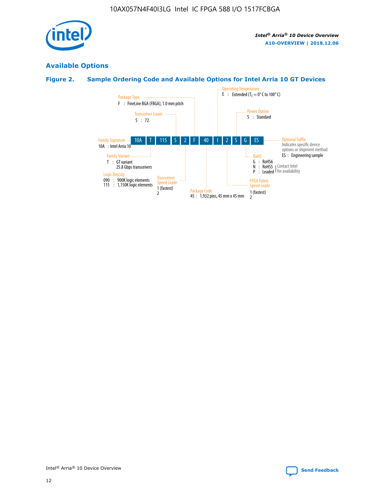

## **Available Options**

## **Figure 2. Sample Ordering Code and Available Options for Intel Arria 10 GT Devices**

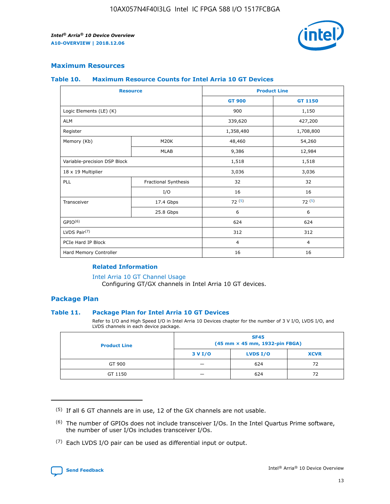

## **Maximum Resources**

#### **Table 10. Maximum Resource Counts for Intel Arria 10 GT Devices**

| <b>Resource</b>              |                      |                | <b>Product Line</b> |  |
|------------------------------|----------------------|----------------|---------------------|--|
|                              |                      | <b>GT 900</b>  | GT 1150             |  |
| Logic Elements (LE) (K)      |                      | 900            | 1,150               |  |
| <b>ALM</b>                   |                      | 339,620        | 427,200             |  |
| Register                     |                      | 1,358,480      | 1,708,800           |  |
| Memory (Kb)                  | M20K                 | 48,460         | 54,260              |  |
|                              | <b>MLAB</b>          | 9,386          | 12,984              |  |
| Variable-precision DSP Block |                      | 1,518          | 1,518               |  |
| 18 x 19 Multiplier           |                      | 3,036          | 3,036               |  |
| PLL                          | Fractional Synthesis | 32             | 32                  |  |
|                              | I/O                  | 16             | 16                  |  |
| Transceiver                  | 17.4 Gbps            | 72(5)          | 72(5)               |  |
|                              | 25.8 Gbps            | 6              | 6                   |  |
| GPIO <sup>(6)</sup>          |                      | 624            | 624                 |  |
| LVDS Pair $(7)$              |                      | 312            | 312                 |  |
| PCIe Hard IP Block           |                      | $\overline{4}$ | $\overline{4}$      |  |
| Hard Memory Controller       |                      | 16             | 16                  |  |

#### **Related Information**

#### [Intel Arria 10 GT Channel Usage](https://www.intel.com/content/www/us/en/programmable/documentation/nik1398707230472.html#nik1398707008178)

Configuring GT/GX channels in Intel Arria 10 GT devices.

## **Package Plan**

#### **Table 11. Package Plan for Intel Arria 10 GT Devices**

Refer to I/O and High Speed I/O in Intel Arria 10 Devices chapter for the number of 3 V I/O, LVDS I/O, and LVDS channels in each device package.

| <b>Product Line</b> | <b>SF45</b><br>(45 mm × 45 mm, 1932-pin FBGA) |                 |             |  |  |  |
|---------------------|-----------------------------------------------|-----------------|-------------|--|--|--|
|                     | 3 V I/O                                       | <b>LVDS I/O</b> | <b>XCVR</b> |  |  |  |
| GT 900              |                                               | 624             | 72          |  |  |  |
| GT 1150             |                                               | 624             | 72          |  |  |  |

<sup>(7)</sup> Each LVDS I/O pair can be used as differential input or output.



 $(5)$  If all 6 GT channels are in use, 12 of the GX channels are not usable.

<sup>(6)</sup> The number of GPIOs does not include transceiver I/Os. In the Intel Quartus Prime software, the number of user I/Os includes transceiver I/Os.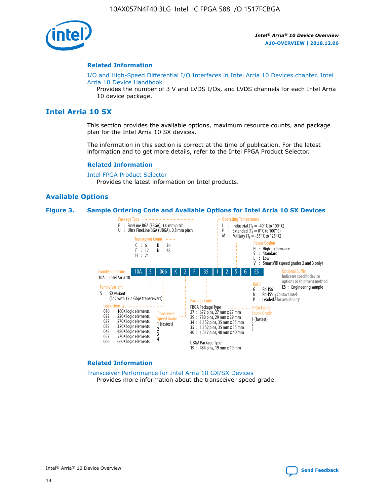

#### **Related Information**

[I/O and High-Speed Differential I/O Interfaces in Intel Arria 10 Devices chapter, Intel](https://www.intel.com/content/www/us/en/programmable/documentation/sam1403482614086.html#sam1403482030321) [Arria 10 Device Handbook](https://www.intel.com/content/www/us/en/programmable/documentation/sam1403482614086.html#sam1403482030321)

Provides the number of 3 V and LVDS I/Os, and LVDS channels for each Intel Arria 10 device package.

## **Intel Arria 10 SX**

This section provides the available options, maximum resource counts, and package plan for the Intel Arria 10 SX devices.

The information in this section is correct at the time of publication. For the latest information and to get more details, refer to the Intel FPGA Product Selector.

#### **Related Information**

[Intel FPGA Product Selector](http://www.altera.com/products/selector/psg-selector.html) Provides the latest information on Intel products.

#### **Available Options**

#### **Figure 3. Sample Ordering Code and Available Options for Intel Arria 10 SX Devices**



#### **Related Information**

[Transceiver Performance for Intel Arria 10 GX/SX Devices](https://www.intel.com/content/www/us/en/programmable/documentation/mcn1413182292568.html#mcn1413213965502) Provides more information about the transceiver speed grade.

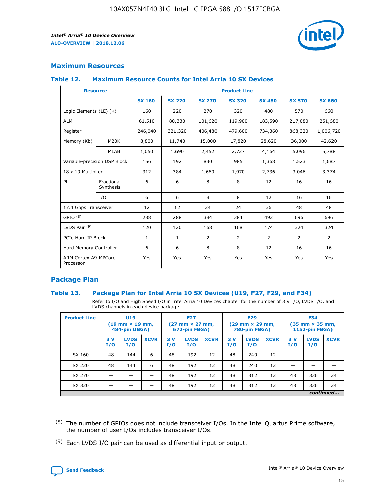

## **Maximum Resources**

#### **Table 12. Maximum Resource Counts for Intel Arria 10 SX Devices**

|                                   | <b>Resource</b>         | <b>Product Line</b> |               |                |                |                |                |                |  |  |  |
|-----------------------------------|-------------------------|---------------------|---------------|----------------|----------------|----------------|----------------|----------------|--|--|--|
|                                   |                         | <b>SX 160</b>       | <b>SX 220</b> | <b>SX 270</b>  | <b>SX 320</b>  | <b>SX 480</b>  | <b>SX 570</b>  | <b>SX 660</b>  |  |  |  |
| Logic Elements (LE) (K)           |                         | 160                 | 220           | 270            | 320            | 480            | 570            | 660            |  |  |  |
| <b>ALM</b>                        |                         | 61,510              | 80,330        | 101,620        | 119,900        | 183,590        | 217,080        | 251,680        |  |  |  |
| Register                          |                         | 246,040             | 321,320       | 406,480        | 479,600        | 734,360        | 868,320        | 1,006,720      |  |  |  |
| Memory (Kb)                       | M <sub>20</sub> K       | 8,800               | 11,740        | 15,000         | 17,820         | 28,620         | 36,000         | 42,620         |  |  |  |
|                                   | <b>MLAB</b>             | 1,050               | 1,690         | 2,452          | 2,727          | 4,164          | 5,096          | 5,788          |  |  |  |
| Variable-precision DSP Block      |                         | 156                 | 192           | 830            | 985            | 1,368          | 1,523          | 1,687          |  |  |  |
|                                   | 18 x 19 Multiplier      |                     | 384           | 1,660          | 1,970          | 2,736          | 3,046          | 3,374          |  |  |  |
| <b>PLL</b>                        | Fractional<br>Synthesis | 6                   | 6             | 8              | 8              | 12             | 16             | 16             |  |  |  |
|                                   | I/O                     | 6                   | 6             | 8              | 8              | 12             | 16             | 16             |  |  |  |
| 17.4 Gbps Transceiver             |                         | 12                  | 12            | 24             | 24             | 36             | 48             | 48             |  |  |  |
| GPIO <sup>(8)</sup>               |                         | 288                 | 288           | 384            | 384            | 492            | 696            | 696            |  |  |  |
| LVDS Pair $(9)$                   |                         | 120                 | 120           | 168            | 168            | 174            | 324            | 324            |  |  |  |
| PCIe Hard IP Block                |                         | $\mathbf{1}$        | $\mathbf{1}$  | $\overline{2}$ | $\overline{2}$ | $\overline{2}$ | $\overline{2}$ | $\overline{2}$ |  |  |  |
| Hard Memory Controller            |                         | 6                   | 6             | 8              | 8              | 12             | 16             | 16             |  |  |  |
| ARM Cortex-A9 MPCore<br>Processor |                         | Yes                 | Yes           | Yes            | Yes            | Yes            | Yes            | Yes            |  |  |  |

## **Package Plan**

#### **Table 13. Package Plan for Intel Arria 10 SX Devices (U19, F27, F29, and F34)**

Refer to I/O and High Speed I/O in Intel Arria 10 Devices chapter for the number of 3 V I/O, LVDS I/O, and LVDS channels in each device package.

| <b>Product Line</b> | <b>U19</b><br>$(19 \text{ mm} \times 19 \text{ mm})$<br>484-pin UBGA) |                    |             | <b>F27</b><br>$(27 \text{ mm} \times 27 \text{ mm})$<br>672-pin FBGA) |                    | <b>F29</b><br>$(29 \text{ mm} \times 29 \text{ mm})$<br>780-pin FBGA) |           |                    | <b>F34</b><br>$(35 \text{ mm} \times 35 \text{ mm})$<br><b>1152-pin FBGA)</b> |           |                    |             |
|---------------------|-----------------------------------------------------------------------|--------------------|-------------|-----------------------------------------------------------------------|--------------------|-----------------------------------------------------------------------|-----------|--------------------|-------------------------------------------------------------------------------|-----------|--------------------|-------------|
|                     | 3V<br>I/O                                                             | <b>LVDS</b><br>I/O | <b>XCVR</b> | 3V<br>I/O                                                             | <b>LVDS</b><br>I/O | <b>XCVR</b>                                                           | 3V<br>I/O | <b>LVDS</b><br>I/O | <b>XCVR</b>                                                                   | 3V<br>I/O | <b>LVDS</b><br>I/O | <b>XCVR</b> |
| SX 160              | 48                                                                    | 144                | 6           | 48                                                                    | 192                | 12                                                                    | 48        | 240                | 12                                                                            | -         |                    |             |
| SX 220              | 48                                                                    | 144                | 6           | 48                                                                    | 192                | 12                                                                    | 48        | 240                | 12                                                                            |           |                    |             |
| SX 270              |                                                                       |                    |             | 48                                                                    | 192                | 12                                                                    | 48        | 312                | 12                                                                            | 48        | 336                | 24          |
| SX 320              |                                                                       |                    |             | 48                                                                    | 192                | 12                                                                    | 48        | 312                | 12                                                                            | 48        | 336                | 24          |
|                     | continued                                                             |                    |             |                                                                       |                    |                                                                       |           |                    |                                                                               |           |                    |             |

 $(8)$  The number of GPIOs does not include transceiver I/Os. In the Intel Quartus Prime software, the number of user I/Os includes transceiver I/Os.

 $(9)$  Each LVDS I/O pair can be used as differential input or output.

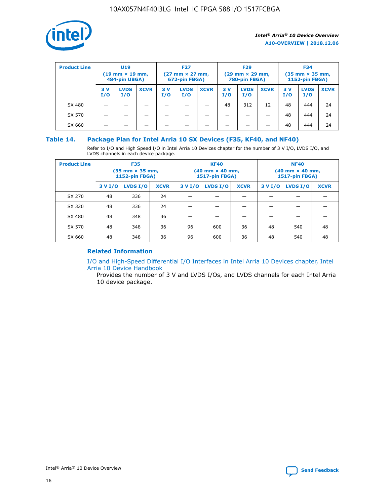

| <b>Product Line</b> | U <sub>19</sub><br>$(19 \text{ mm} \times 19 \text{ mm})$<br>484-pin UBGA) |                    | <b>F27</b><br>$(27 \text{ mm} \times 27 \text{ mm})$<br>672-pin FBGA) |            | <b>F29</b><br>$(29$ mm $\times$ 29 mm,<br>780-pin FBGA) |             |           | <b>F34</b><br>$(35$ mm $\times$ 35 mm,<br><b>1152-pin FBGA)</b> |             |            |                    |             |
|---------------------|----------------------------------------------------------------------------|--------------------|-----------------------------------------------------------------------|------------|---------------------------------------------------------|-------------|-----------|-----------------------------------------------------------------|-------------|------------|--------------------|-------------|
|                     | 3 V<br>I/O                                                                 | <b>LVDS</b><br>I/O | <b>XCVR</b>                                                           | 3 V<br>I/O | <b>LVDS</b><br>I/O                                      | <b>XCVR</b> | 3V<br>I/O | <b>LVDS</b><br>I/O                                              | <b>XCVR</b> | 3 V<br>I/O | <b>LVDS</b><br>I/O | <b>XCVR</b> |
| SX 480              |                                                                            |                    |                                                                       |            |                                                         |             | 48        | 312                                                             | 12          | 48         | 444                | 24          |
| SX 570              |                                                                            |                    |                                                                       |            |                                                         |             |           |                                                                 |             | 48         | 444                | 24          |
| SX 660              |                                                                            |                    |                                                                       |            |                                                         |             |           |                                                                 |             | 48         | 444                | 24          |

## **Table 14. Package Plan for Intel Arria 10 SX Devices (F35, KF40, and NF40)**

Refer to I/O and High Speed I/O in Intel Arria 10 Devices chapter for the number of 3 V I/O, LVDS I/O, and LVDS channels in each device package.

| <b>Product Line</b> | <b>F35</b><br>$(35 \text{ mm} \times 35 \text{ mm})$<br><b>1152-pin FBGA)</b> |          |             |                                           | <b>KF40</b><br>(40 mm × 40 mm,<br>1517-pin FBGA) |    | <b>NF40</b><br>$(40 \text{ mm} \times 40 \text{ mm})$<br>1517-pin FBGA) |          |             |  |
|---------------------|-------------------------------------------------------------------------------|----------|-------------|-------------------------------------------|--------------------------------------------------|----|-------------------------------------------------------------------------|----------|-------------|--|
|                     | 3 V I/O                                                                       | LVDS I/O | <b>XCVR</b> | <b>LVDS I/O</b><br><b>XCVR</b><br>3 V I/O |                                                  |    | 3 V I/O                                                                 | LVDS I/O | <b>XCVR</b> |  |
| SX 270              | 48                                                                            | 336      | 24          |                                           |                                                  |    |                                                                         |          |             |  |
| SX 320              | 48                                                                            | 336      | 24          |                                           |                                                  |    |                                                                         |          |             |  |
| SX 480              | 48                                                                            | 348      | 36          |                                           |                                                  |    |                                                                         |          |             |  |
| SX 570              | 48                                                                            | 348      | 36          | 96                                        | 600                                              | 36 | 48                                                                      | 540      | 48          |  |
| SX 660              | 48                                                                            | 348      | 36          | 96                                        | 600                                              | 36 | 48                                                                      | 540      | 48          |  |

## **Related Information**

[I/O and High-Speed Differential I/O Interfaces in Intel Arria 10 Devices chapter, Intel](https://www.intel.com/content/www/us/en/programmable/documentation/sam1403482614086.html#sam1403482030321) [Arria 10 Device Handbook](https://www.intel.com/content/www/us/en/programmable/documentation/sam1403482614086.html#sam1403482030321)

Provides the number of 3 V and LVDS I/Os, and LVDS channels for each Intel Arria 10 device package.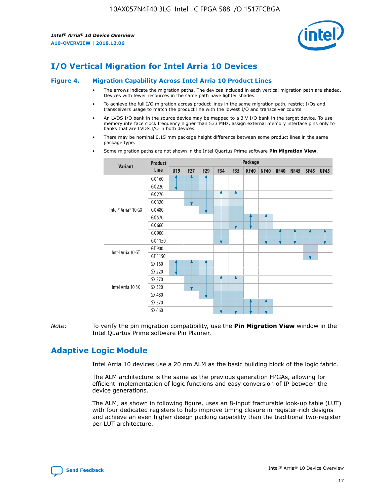

## **I/O Vertical Migration for Intel Arria 10 Devices**

#### **Figure 4. Migration Capability Across Intel Arria 10 Product Lines**

- The arrows indicate the migration paths. The devices included in each vertical migration path are shaded. Devices with fewer resources in the same path have lighter shades.
- To achieve the full I/O migration across product lines in the same migration path, restrict I/Os and transceivers usage to match the product line with the lowest I/O and transceiver counts.
- An LVDS I/O bank in the source device may be mapped to a 3 V I/O bank in the target device. To use memory interface clock frequency higher than 533 MHz, assign external memory interface pins only to banks that are LVDS I/O in both devices.
- There may be nominal 0.15 mm package height difference between some product lines in the same package type.
	- **Variant Product Line Package U19 F27 F29 F34 F35 KF40 NF40 RF40 NF45 SF45 UF45** Intel® Arria® 10 GX GX 160 GX 220 GX 270 GX 320 GX 480 GX 570 GX 660 GX 900 GX 1150 Intel Arria 10 GT GT 900 GT 1150 Intel Arria 10 SX SX 160 SX 220 SX 270 SX 320 SX 480 SX 570 SX 660
- Some migration paths are not shown in the Intel Quartus Prime software **Pin Migration View**.

*Note:* To verify the pin migration compatibility, use the **Pin Migration View** window in the Intel Quartus Prime software Pin Planner.

## **Adaptive Logic Module**

Intel Arria 10 devices use a 20 nm ALM as the basic building block of the logic fabric.

The ALM architecture is the same as the previous generation FPGAs, allowing for efficient implementation of logic functions and easy conversion of IP between the device generations.

The ALM, as shown in following figure, uses an 8-input fracturable look-up table (LUT) with four dedicated registers to help improve timing closure in register-rich designs and achieve an even higher design packing capability than the traditional two-register per LUT architecture.

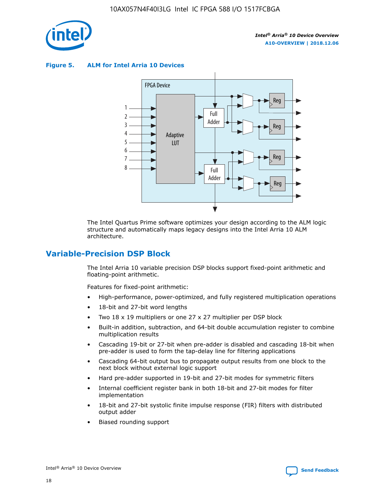

**Figure 5. ALM for Intel Arria 10 Devices**



The Intel Quartus Prime software optimizes your design according to the ALM logic structure and automatically maps legacy designs into the Intel Arria 10 ALM architecture.

## **Variable-Precision DSP Block**

The Intel Arria 10 variable precision DSP blocks support fixed-point arithmetic and floating-point arithmetic.

Features for fixed-point arithmetic:

- High-performance, power-optimized, and fully registered multiplication operations
- 18-bit and 27-bit word lengths
- Two 18 x 19 multipliers or one 27 x 27 multiplier per DSP block
- Built-in addition, subtraction, and 64-bit double accumulation register to combine multiplication results
- Cascading 19-bit or 27-bit when pre-adder is disabled and cascading 18-bit when pre-adder is used to form the tap-delay line for filtering applications
- Cascading 64-bit output bus to propagate output results from one block to the next block without external logic support
- Hard pre-adder supported in 19-bit and 27-bit modes for symmetric filters
- Internal coefficient register bank in both 18-bit and 27-bit modes for filter implementation
- 18-bit and 27-bit systolic finite impulse response (FIR) filters with distributed output adder
- Biased rounding support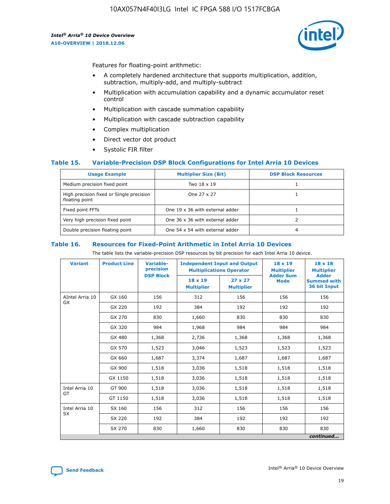

Features for floating-point arithmetic:

- A completely hardened architecture that supports multiplication, addition, subtraction, multiply-add, and multiply-subtract
- Multiplication with accumulation capability and a dynamic accumulator reset control
- Multiplication with cascade summation capability
- Multiplication with cascade subtraction capability
- Complex multiplication
- Direct vector dot product
- Systolic FIR filter

#### **Table 15. Variable-Precision DSP Block Configurations for Intel Arria 10 Devices**

| <b>Usage Example</b>                                       | <b>Multiplier Size (Bit)</b>    | <b>DSP Block Resources</b> |
|------------------------------------------------------------|---------------------------------|----------------------------|
| Medium precision fixed point                               | Two 18 x 19                     |                            |
| High precision fixed or Single precision<br>floating point | One 27 x 27                     |                            |
| Fixed point FFTs                                           | One 19 x 36 with external adder |                            |
| Very high precision fixed point                            | One 36 x 36 with external adder |                            |
| Double precision floating point                            | One 54 x 54 with external adder | 4                          |

#### **Table 16. Resources for Fixed-Point Arithmetic in Intel Arria 10 Devices**

The table lists the variable-precision DSP resources by bit precision for each Intel Arria 10 device.

| <b>Variant</b>  | <b>Product Line</b> | Variable-<br>precision<br><b>DSP Block</b> | <b>Independent Input and Output</b><br><b>Multiplications Operator</b> |                                     | $18 \times 19$<br><b>Multiplier</b><br><b>Adder Sum</b> | $18 \times 18$<br><b>Multiplier</b><br><b>Adder</b> |
|-----------------|---------------------|--------------------------------------------|------------------------------------------------------------------------|-------------------------------------|---------------------------------------------------------|-----------------------------------------------------|
|                 |                     |                                            | $18 \times 19$<br><b>Multiplier</b>                                    | $27 \times 27$<br><b>Multiplier</b> | <b>Mode</b>                                             | <b>Summed with</b><br>36 bit Input                  |
| AIntel Arria 10 | GX 160              | 156                                        | 312                                                                    | 156                                 | 156                                                     | 156                                                 |
| <b>GX</b>       | GX 220              | 192                                        | 384                                                                    | 192                                 | 192                                                     | 192                                                 |
|                 | GX 270              | 830                                        | 1,660                                                                  | 830                                 | 830                                                     | 830                                                 |
|                 | GX 320              | 984                                        | 1,968                                                                  | 984                                 | 984                                                     | 984                                                 |
|                 | GX 480              | 1,368                                      | 2,736                                                                  | 1,368                               | 1,368                                                   | 1,368                                               |
|                 | GX 570              | 1,523                                      | 3,046                                                                  | 1,523                               | 1,523                                                   | 1,523                                               |
|                 | GX 660              | 1,687                                      | 3,374                                                                  | 1,687                               | 1,687                                                   | 1,687                                               |
|                 | GX 900              | 1,518                                      | 3,036                                                                  | 1,518                               | 1,518                                                   | 1,518                                               |
|                 | GX 1150             | 1,518                                      | 3,036                                                                  | 1,518                               | 1,518                                                   | 1,518                                               |
| Intel Arria 10  | GT 900              | 1,518                                      | 3,036                                                                  | 1,518                               | 1,518                                                   | 1,518                                               |
| GT              | GT 1150             | 1,518                                      | 3,036                                                                  | 1,518                               | 1,518                                                   | 1,518                                               |
| Intel Arria 10  | SX 160              | 156                                        | 312                                                                    | 156                                 | 156                                                     | 156                                                 |
| <b>SX</b>       | SX 220              | 192                                        | 384                                                                    | 192                                 | 192                                                     | 192                                                 |
|                 | SX 270              | 830                                        | 1,660                                                                  | 830                                 | 830                                                     | 830                                                 |
|                 |                     |                                            |                                                                        |                                     |                                                         | continued                                           |

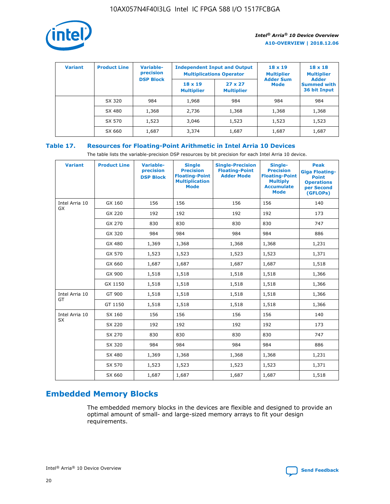

| <b>Variant</b> | <b>Product Line</b> | <b>Variable-</b><br>precision<br><b>DSP Block</b> | <b>Independent Input and Output</b><br><b>Multiplications Operator</b> |                                     | $18 \times 19$<br><b>Multiplier</b><br><b>Adder Sum</b> | $18 \times 18$<br><b>Multiplier</b><br><b>Adder</b> |  |
|----------------|---------------------|---------------------------------------------------|------------------------------------------------------------------------|-------------------------------------|---------------------------------------------------------|-----------------------------------------------------|--|
|                |                     |                                                   | $18 \times 19$<br><b>Multiplier</b>                                    | $27 \times 27$<br><b>Multiplier</b> | <b>Mode</b>                                             | <b>Summed with</b><br>36 bit Input                  |  |
|                | SX 320              | 984                                               | 1,968                                                                  | 984                                 | 984                                                     | 984                                                 |  |
|                | SX 480              | 1,368                                             | 2,736                                                                  | 1,368                               | 1,368                                                   | 1,368                                               |  |
|                | SX 570              | 1,523                                             | 3,046                                                                  | 1,523                               | 1,523                                                   | 1,523                                               |  |
|                | SX 660              | 1,687                                             | 3,374                                                                  | 1,687                               | 1,687                                                   | 1,687                                               |  |

## **Table 17. Resources for Floating-Point Arithmetic in Intel Arria 10 Devices**

The table lists the variable-precision DSP resources by bit precision for each Intel Arria 10 device.

| <b>Variant</b> | <b>Product Line</b> | <b>Variable-</b><br>precision<br><b>DSP Block</b> | <b>Single</b><br><b>Precision</b><br><b>Floating-Point</b><br><b>Multiplication</b><br><b>Mode</b> | <b>Single-Precision</b><br><b>Floating-Point</b><br><b>Adder Mode</b> | Single-<br><b>Precision</b><br><b>Floating-Point</b><br><b>Multiply</b><br><b>Accumulate</b><br><b>Mode</b> | <b>Peak</b><br><b>Giga Floating-</b><br><b>Point</b><br><b>Operations</b><br>per Second<br>(GFLOPs) |
|----------------|---------------------|---------------------------------------------------|----------------------------------------------------------------------------------------------------|-----------------------------------------------------------------------|-------------------------------------------------------------------------------------------------------------|-----------------------------------------------------------------------------------------------------|
| Intel Arria 10 | GX 160              | 156                                               | 156                                                                                                | 156                                                                   | 156                                                                                                         | 140                                                                                                 |
| <b>GX</b>      | GX 220              | 192                                               | 192                                                                                                | 192                                                                   | 192                                                                                                         | 173                                                                                                 |
|                | GX 270              | 830                                               | 830                                                                                                | 830                                                                   | 830                                                                                                         | 747                                                                                                 |
|                | GX 320              | 984                                               | 984                                                                                                | 984                                                                   | 984                                                                                                         | 886                                                                                                 |
|                | GX 480              | 1,369                                             | 1,368                                                                                              | 1,368                                                                 | 1,368                                                                                                       | 1,231                                                                                               |
|                | GX 570              | 1,523                                             | 1,523                                                                                              | 1,523                                                                 | 1,523                                                                                                       | 1,371                                                                                               |
|                | GX 660              | 1,687                                             | 1,687                                                                                              | 1,687                                                                 | 1,687                                                                                                       | 1,518                                                                                               |
|                | GX 900              | 1,518                                             | 1,518                                                                                              | 1,518                                                                 | 1,518                                                                                                       | 1,366                                                                                               |
|                | GX 1150             | 1,518                                             | 1,518                                                                                              | 1,518                                                                 | 1,518                                                                                                       | 1,366                                                                                               |
| Intel Arria 10 | GT 900              | 1,518                                             | 1,518                                                                                              | 1,518                                                                 | 1,518                                                                                                       | 1,366                                                                                               |
| GT             | GT 1150             | 1,518                                             | 1,518                                                                                              | 1,518                                                                 | 1,518                                                                                                       | 1,366                                                                                               |
| Intel Arria 10 | SX 160              | 156                                               | 156                                                                                                | 156                                                                   | 156                                                                                                         | 140                                                                                                 |
| SX             | SX 220              | 192                                               | 192                                                                                                | 192                                                                   | 192                                                                                                         | 173                                                                                                 |
|                | SX 270              | 830                                               | 830                                                                                                | 830                                                                   | 830                                                                                                         | 747                                                                                                 |
|                | SX 320              | 984                                               | 984                                                                                                | 984                                                                   | 984                                                                                                         | 886                                                                                                 |
|                | SX 480              | 1,369                                             | 1,368                                                                                              | 1,368                                                                 | 1,368                                                                                                       | 1,231                                                                                               |
|                | SX 570              | 1,523                                             | 1,523                                                                                              | 1,523                                                                 | 1,523                                                                                                       | 1,371                                                                                               |
|                | SX 660              | 1,687                                             | 1,687                                                                                              | 1,687                                                                 | 1,687                                                                                                       | 1,518                                                                                               |

# **Embedded Memory Blocks**

The embedded memory blocks in the devices are flexible and designed to provide an optimal amount of small- and large-sized memory arrays to fit your design requirements.

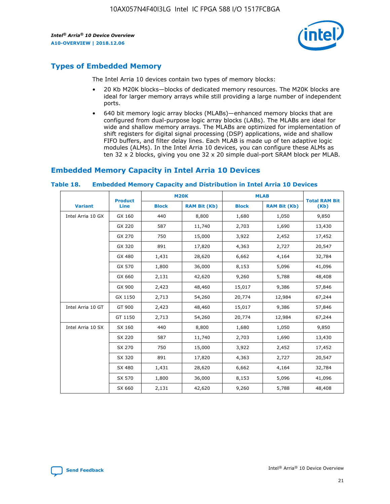

## **Types of Embedded Memory**

The Intel Arria 10 devices contain two types of memory blocks:

- 20 Kb M20K blocks—blocks of dedicated memory resources. The M20K blocks are ideal for larger memory arrays while still providing a large number of independent ports.
- 640 bit memory logic array blocks (MLABs)—enhanced memory blocks that are configured from dual-purpose logic array blocks (LABs). The MLABs are ideal for wide and shallow memory arrays. The MLABs are optimized for implementation of shift registers for digital signal processing (DSP) applications, wide and shallow FIFO buffers, and filter delay lines. Each MLAB is made up of ten adaptive logic modules (ALMs). In the Intel Arria 10 devices, you can configure these ALMs as ten 32 x 2 blocks, giving you one 32 x 20 simple dual-port SRAM block per MLAB.

## **Embedded Memory Capacity in Intel Arria 10 Devices**

|                   | <b>Product</b> |              | <b>M20K</b>         | <b>MLAB</b>  |                     | <b>Total RAM Bit</b> |
|-------------------|----------------|--------------|---------------------|--------------|---------------------|----------------------|
| <b>Variant</b>    | Line           | <b>Block</b> | <b>RAM Bit (Kb)</b> | <b>Block</b> | <b>RAM Bit (Kb)</b> | (Kb)                 |
| Intel Arria 10 GX | GX 160         | 440          | 8,800               | 1,680        | 1,050               | 9,850                |
|                   | GX 220         | 587          | 11,740              | 2,703        | 1,690               | 13,430               |
|                   | GX 270         | 750          | 15,000              | 3,922        | 2,452               | 17,452               |
|                   | GX 320         | 891          | 17,820              | 4,363        | 2,727               | 20,547               |
|                   | GX 480         | 1,431        | 28,620              | 6,662        | 4,164               | 32,784               |
|                   | GX 570         | 1,800        | 36,000              | 8,153        | 5,096               | 41,096               |
|                   | GX 660         | 2,131        | 42,620              | 9,260        | 5,788               | 48,408               |
|                   | GX 900         | 2,423        | 48,460              | 15,017       | 9,386               | 57,846               |
|                   | GX 1150        | 2,713        | 54,260              | 20,774       | 12,984              | 67,244               |
| Intel Arria 10 GT | GT 900         | 2,423        | 48,460              | 15,017       | 9,386               | 57,846               |
|                   | GT 1150        | 2,713        | 54,260              | 20,774       | 12,984              | 67,244               |
| Intel Arria 10 SX | SX 160         | 440          | 8,800               | 1,680        | 1,050               | 9,850                |
|                   | SX 220         | 587          | 11,740              | 2,703        | 1,690               | 13,430               |
|                   | SX 270         | 750          | 15,000              | 3,922        | 2,452               | 17,452               |
|                   | SX 320         | 891          | 17,820              | 4,363        | 2,727               | 20,547               |
|                   | SX 480         | 1,431        | 28,620              | 6,662        | 4,164               | 32,784               |
|                   | SX 570         | 1,800        | 36,000              | 8,153        | 5,096               | 41,096               |
|                   | SX 660         | 2,131        | 42,620              | 9,260        | 5,788               | 48,408               |

#### **Table 18. Embedded Memory Capacity and Distribution in Intel Arria 10 Devices**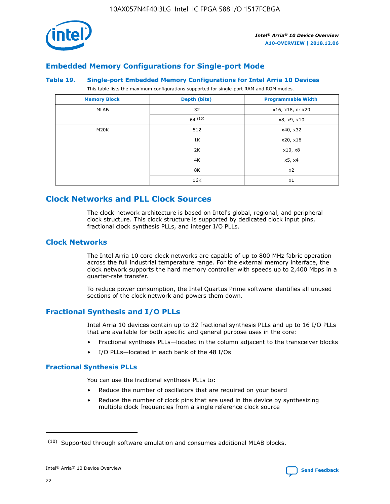

## **Embedded Memory Configurations for Single-port Mode**

#### **Table 19. Single-port Embedded Memory Configurations for Intel Arria 10 Devices**

This table lists the maximum configurations supported for single-port RAM and ROM modes.

| <b>Memory Block</b> | Depth (bits) | <b>Programmable Width</b> |
|---------------------|--------------|---------------------------|
| MLAB                | 32           | x16, x18, or x20          |
|                     | 64(10)       | x8, x9, x10               |
| M20K                | 512          | x40, x32                  |
|                     | 1K           | x20, x16                  |
|                     | 2K           | x10, x8                   |
|                     | 4K           | x5, x4                    |
|                     | 8K           | x2                        |
|                     | 16K          | x1                        |

## **Clock Networks and PLL Clock Sources**

The clock network architecture is based on Intel's global, regional, and peripheral clock structure. This clock structure is supported by dedicated clock input pins, fractional clock synthesis PLLs, and integer I/O PLLs.

## **Clock Networks**

The Intel Arria 10 core clock networks are capable of up to 800 MHz fabric operation across the full industrial temperature range. For the external memory interface, the clock network supports the hard memory controller with speeds up to 2,400 Mbps in a quarter-rate transfer.

To reduce power consumption, the Intel Quartus Prime software identifies all unused sections of the clock network and powers them down.

## **Fractional Synthesis and I/O PLLs**

Intel Arria 10 devices contain up to 32 fractional synthesis PLLs and up to 16 I/O PLLs that are available for both specific and general purpose uses in the core:

- Fractional synthesis PLLs—located in the column adjacent to the transceiver blocks
- I/O PLLs—located in each bank of the 48 I/Os

## **Fractional Synthesis PLLs**

You can use the fractional synthesis PLLs to:

- Reduce the number of oscillators that are required on your board
- Reduce the number of clock pins that are used in the device by synthesizing multiple clock frequencies from a single reference clock source

<sup>(10)</sup> Supported through software emulation and consumes additional MLAB blocks.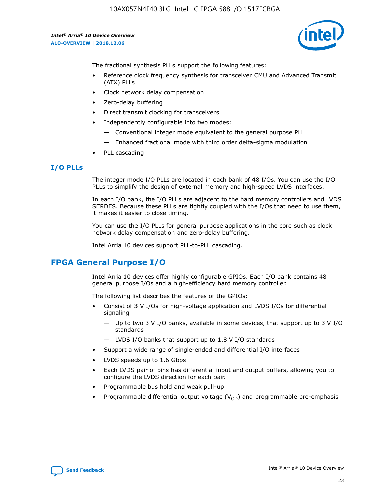

The fractional synthesis PLLs support the following features:

- Reference clock frequency synthesis for transceiver CMU and Advanced Transmit (ATX) PLLs
- Clock network delay compensation
- Zero-delay buffering
- Direct transmit clocking for transceivers
- Independently configurable into two modes:
	- Conventional integer mode equivalent to the general purpose PLL
	- Enhanced fractional mode with third order delta-sigma modulation
- PLL cascading

## **I/O PLLs**

The integer mode I/O PLLs are located in each bank of 48 I/Os. You can use the I/O PLLs to simplify the design of external memory and high-speed LVDS interfaces.

In each I/O bank, the I/O PLLs are adjacent to the hard memory controllers and LVDS SERDES. Because these PLLs are tightly coupled with the I/Os that need to use them, it makes it easier to close timing.

You can use the I/O PLLs for general purpose applications in the core such as clock network delay compensation and zero-delay buffering.

Intel Arria 10 devices support PLL-to-PLL cascading.

## **FPGA General Purpose I/O**

Intel Arria 10 devices offer highly configurable GPIOs. Each I/O bank contains 48 general purpose I/Os and a high-efficiency hard memory controller.

The following list describes the features of the GPIOs:

- Consist of 3 V I/Os for high-voltage application and LVDS I/Os for differential signaling
	- Up to two 3 V I/O banks, available in some devices, that support up to 3 V I/O standards
	- LVDS I/O banks that support up to 1.8 V I/O standards
- Support a wide range of single-ended and differential I/O interfaces
- LVDS speeds up to 1.6 Gbps
- Each LVDS pair of pins has differential input and output buffers, allowing you to configure the LVDS direction for each pair.
- Programmable bus hold and weak pull-up
- Programmable differential output voltage  $(V_{OD})$  and programmable pre-emphasis

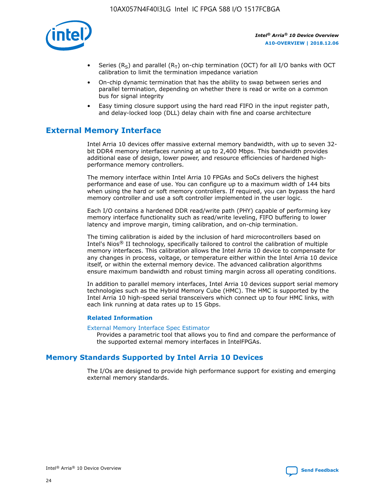

- Series (R<sub>S</sub>) and parallel (R<sub>T</sub>) on-chip termination (OCT) for all I/O banks with OCT calibration to limit the termination impedance variation
- On-chip dynamic termination that has the ability to swap between series and parallel termination, depending on whether there is read or write on a common bus for signal integrity
- Easy timing closure support using the hard read FIFO in the input register path, and delay-locked loop (DLL) delay chain with fine and coarse architecture

## **External Memory Interface**

Intel Arria 10 devices offer massive external memory bandwidth, with up to seven 32 bit DDR4 memory interfaces running at up to 2,400 Mbps. This bandwidth provides additional ease of design, lower power, and resource efficiencies of hardened highperformance memory controllers.

The memory interface within Intel Arria 10 FPGAs and SoCs delivers the highest performance and ease of use. You can configure up to a maximum width of 144 bits when using the hard or soft memory controllers. If required, you can bypass the hard memory controller and use a soft controller implemented in the user logic.

Each I/O contains a hardened DDR read/write path (PHY) capable of performing key memory interface functionality such as read/write leveling, FIFO buffering to lower latency and improve margin, timing calibration, and on-chip termination.

The timing calibration is aided by the inclusion of hard microcontrollers based on Intel's Nios® II technology, specifically tailored to control the calibration of multiple memory interfaces. This calibration allows the Intel Arria 10 device to compensate for any changes in process, voltage, or temperature either within the Intel Arria 10 device itself, or within the external memory device. The advanced calibration algorithms ensure maximum bandwidth and robust timing margin across all operating conditions.

In addition to parallel memory interfaces, Intel Arria 10 devices support serial memory technologies such as the Hybrid Memory Cube (HMC). The HMC is supported by the Intel Arria 10 high-speed serial transceivers which connect up to four HMC links, with each link running at data rates up to 15 Gbps.

#### **Related Information**

#### [External Memory Interface Spec Estimator](http://www.altera.com/technology/memory/estimator/mem-emif-index.html)

Provides a parametric tool that allows you to find and compare the performance of the supported external memory interfaces in IntelFPGAs.

## **Memory Standards Supported by Intel Arria 10 Devices**

The I/Os are designed to provide high performance support for existing and emerging external memory standards.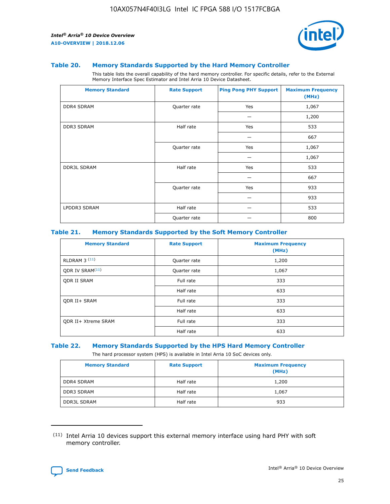

#### **Table 20. Memory Standards Supported by the Hard Memory Controller**

This table lists the overall capability of the hard memory controller. For specific details, refer to the External Memory Interface Spec Estimator and Intel Arria 10 Device Datasheet.

| <b>Memory Standard</b> | <b>Rate Support</b> | <b>Ping Pong PHY Support</b> | <b>Maximum Frequency</b><br>(MHz) |
|------------------------|---------------------|------------------------------|-----------------------------------|
| <b>DDR4 SDRAM</b>      | Quarter rate        | Yes                          | 1,067                             |
|                        |                     |                              | 1,200                             |
| DDR3 SDRAM             | Half rate           | Yes                          | 533                               |
|                        |                     |                              | 667                               |
|                        | Quarter rate        | Yes                          | 1,067                             |
|                        |                     |                              | 1,067                             |
| <b>DDR3L SDRAM</b>     | Half rate           | Yes                          | 533                               |
|                        |                     |                              | 667                               |
|                        | Quarter rate        | Yes                          | 933                               |
|                        |                     |                              | 933                               |
| LPDDR3 SDRAM           | Half rate           |                              | 533                               |
|                        | Quarter rate        |                              | 800                               |

#### **Table 21. Memory Standards Supported by the Soft Memory Controller**

| <b>Memory Standard</b>      | <b>Rate Support</b> | <b>Maximum Frequency</b><br>(MHz) |
|-----------------------------|---------------------|-----------------------------------|
| <b>RLDRAM 3 (11)</b>        | Quarter rate        | 1,200                             |
| ODR IV SRAM <sup>(11)</sup> | Quarter rate        | 1,067                             |
| <b>ODR II SRAM</b>          | Full rate           | 333                               |
|                             | Half rate           | 633                               |
| <b>ODR II+ SRAM</b>         | Full rate           | 333                               |
|                             | Half rate           | 633                               |
| <b>ODR II+ Xtreme SRAM</b>  | Full rate           | 333                               |
|                             | Half rate           | 633                               |

#### **Table 22. Memory Standards Supported by the HPS Hard Memory Controller**

The hard processor system (HPS) is available in Intel Arria 10 SoC devices only.

| <b>Memory Standard</b> | <b>Rate Support</b> | <b>Maximum Frequency</b><br>(MHz) |
|------------------------|---------------------|-----------------------------------|
| <b>DDR4 SDRAM</b>      | Half rate           | 1,200                             |
| <b>DDR3 SDRAM</b>      | Half rate           | 1,067                             |
| <b>DDR3L SDRAM</b>     | Half rate           | 933                               |

<sup>(11)</sup> Intel Arria 10 devices support this external memory interface using hard PHY with soft memory controller.

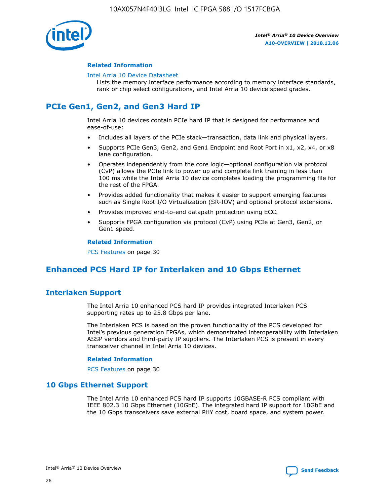

#### **Related Information**

#### [Intel Arria 10 Device Datasheet](https://www.intel.com/content/www/us/en/programmable/documentation/mcn1413182292568.html#mcn1413182153340)

Lists the memory interface performance according to memory interface standards, rank or chip select configurations, and Intel Arria 10 device speed grades.

## **PCIe Gen1, Gen2, and Gen3 Hard IP**

Intel Arria 10 devices contain PCIe hard IP that is designed for performance and ease-of-use:

- Includes all layers of the PCIe stack—transaction, data link and physical layers.
- Supports PCIe Gen3, Gen2, and Gen1 Endpoint and Root Port in x1, x2, x4, or x8 lane configuration.
- Operates independently from the core logic—optional configuration via protocol (CvP) allows the PCIe link to power up and complete link training in less than 100 ms while the Intel Arria 10 device completes loading the programming file for the rest of the FPGA.
- Provides added functionality that makes it easier to support emerging features such as Single Root I/O Virtualization (SR-IOV) and optional protocol extensions.
- Provides improved end-to-end datapath protection using ECC.
- Supports FPGA configuration via protocol (CvP) using PCIe at Gen3, Gen2, or Gen1 speed.

#### **Related Information**

PCS Features on page 30

## **Enhanced PCS Hard IP for Interlaken and 10 Gbps Ethernet**

## **Interlaken Support**

The Intel Arria 10 enhanced PCS hard IP provides integrated Interlaken PCS supporting rates up to 25.8 Gbps per lane.

The Interlaken PCS is based on the proven functionality of the PCS developed for Intel's previous generation FPGAs, which demonstrated interoperability with Interlaken ASSP vendors and third-party IP suppliers. The Interlaken PCS is present in every transceiver channel in Intel Arria 10 devices.

#### **Related Information**

PCS Features on page 30

## **10 Gbps Ethernet Support**

The Intel Arria 10 enhanced PCS hard IP supports 10GBASE-R PCS compliant with IEEE 802.3 10 Gbps Ethernet (10GbE). The integrated hard IP support for 10GbE and the 10 Gbps transceivers save external PHY cost, board space, and system power.

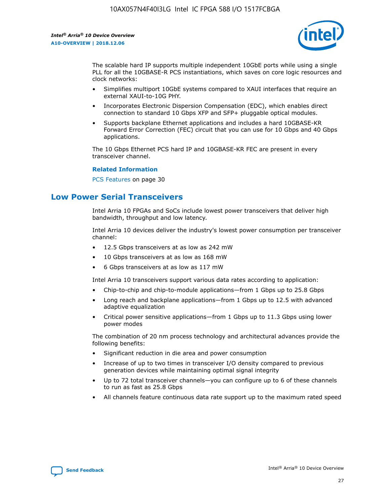

The scalable hard IP supports multiple independent 10GbE ports while using a single PLL for all the 10GBASE-R PCS instantiations, which saves on core logic resources and clock networks:

- Simplifies multiport 10GbE systems compared to XAUI interfaces that require an external XAUI-to-10G PHY.
- Incorporates Electronic Dispersion Compensation (EDC), which enables direct connection to standard 10 Gbps XFP and SFP+ pluggable optical modules.
- Supports backplane Ethernet applications and includes a hard 10GBASE-KR Forward Error Correction (FEC) circuit that you can use for 10 Gbps and 40 Gbps applications.

The 10 Gbps Ethernet PCS hard IP and 10GBASE-KR FEC are present in every transceiver channel.

#### **Related Information**

PCS Features on page 30

## **Low Power Serial Transceivers**

Intel Arria 10 FPGAs and SoCs include lowest power transceivers that deliver high bandwidth, throughput and low latency.

Intel Arria 10 devices deliver the industry's lowest power consumption per transceiver channel:

- 12.5 Gbps transceivers at as low as 242 mW
- 10 Gbps transceivers at as low as 168 mW
- 6 Gbps transceivers at as low as 117 mW

Intel Arria 10 transceivers support various data rates according to application:

- Chip-to-chip and chip-to-module applications—from 1 Gbps up to 25.8 Gbps
- Long reach and backplane applications—from 1 Gbps up to 12.5 with advanced adaptive equalization
- Critical power sensitive applications—from 1 Gbps up to 11.3 Gbps using lower power modes

The combination of 20 nm process technology and architectural advances provide the following benefits:

- Significant reduction in die area and power consumption
- Increase of up to two times in transceiver I/O density compared to previous generation devices while maintaining optimal signal integrity
- Up to 72 total transceiver channels—you can configure up to 6 of these channels to run as fast as 25.8 Gbps
- All channels feature continuous data rate support up to the maximum rated speed

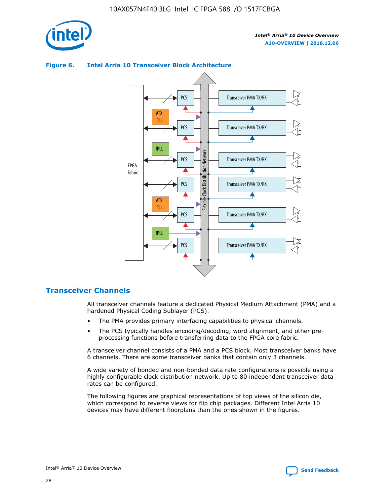

## Transceiver PMA TX/RX PCS ATX PLL Transceiver PMA TX/RX PCS fPLL Network Flexible Clock Distribution Network PCS Transceiver PMA TX/RX FPGA **Clock Distribution** Fabric PCS Transceiver PMA TX/RX ATX Flexible PLL PCS Transceiver PMA TX/RX ▲ fPLL Transceiver PMA TX/RX PCS 4

## **Figure 6. Intel Arria 10 Transceiver Block Architecture**

## **Transceiver Channels**

All transceiver channels feature a dedicated Physical Medium Attachment (PMA) and a hardened Physical Coding Sublayer (PCS).

- The PMA provides primary interfacing capabilities to physical channels.
- The PCS typically handles encoding/decoding, word alignment, and other preprocessing functions before transferring data to the FPGA core fabric.

A transceiver channel consists of a PMA and a PCS block. Most transceiver banks have 6 channels. There are some transceiver banks that contain only 3 channels.

A wide variety of bonded and non-bonded data rate configurations is possible using a highly configurable clock distribution network. Up to 80 independent transceiver data rates can be configured.

The following figures are graphical representations of top views of the silicon die, which correspond to reverse views for flip chip packages. Different Intel Arria 10 devices may have different floorplans than the ones shown in the figures.

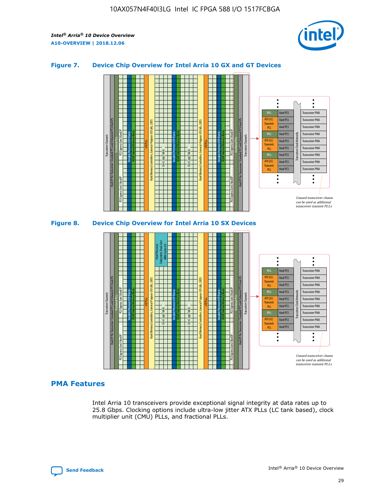

## **Figure 7. Device Chip Overview for Intel Arria 10 GX and GT Devices**





## **PMA Features**

Intel Arria 10 transceivers provide exceptional signal integrity at data rates up to 25.8 Gbps. Clocking options include ultra-low jitter ATX PLLs (LC tank based), clock multiplier unit (CMU) PLLs, and fractional PLLs.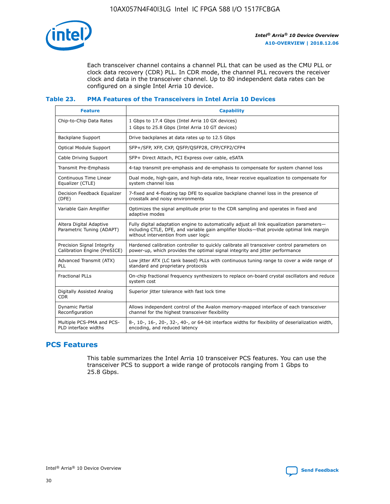

Each transceiver channel contains a channel PLL that can be used as the CMU PLL or clock data recovery (CDR) PLL. In CDR mode, the channel PLL recovers the receiver clock and data in the transceiver channel. Up to 80 independent data rates can be configured on a single Intel Arria 10 device.

## **Table 23. PMA Features of the Transceivers in Intel Arria 10 Devices**

| <b>Feature</b>                                             | <b>Capability</b>                                                                                                                                                                                                             |
|------------------------------------------------------------|-------------------------------------------------------------------------------------------------------------------------------------------------------------------------------------------------------------------------------|
| Chip-to-Chip Data Rates                                    | 1 Gbps to 17.4 Gbps (Intel Arria 10 GX devices)<br>1 Gbps to 25.8 Gbps (Intel Arria 10 GT devices)                                                                                                                            |
| Backplane Support                                          | Drive backplanes at data rates up to 12.5 Gbps                                                                                                                                                                                |
| <b>Optical Module Support</b>                              | SFP+/SFP, XFP, CXP, QSFP/QSFP28, CFP/CFP2/CFP4                                                                                                                                                                                |
| Cable Driving Support                                      | SFP+ Direct Attach, PCI Express over cable, eSATA                                                                                                                                                                             |
| Transmit Pre-Emphasis                                      | 4-tap transmit pre-emphasis and de-emphasis to compensate for system channel loss                                                                                                                                             |
| Continuous Time Linear<br>Equalizer (CTLE)                 | Dual mode, high-gain, and high-data rate, linear receive equalization to compensate for<br>system channel loss                                                                                                                |
| Decision Feedback Equalizer<br>(DFE)                       | 7-fixed and 4-floating tap DFE to equalize backplane channel loss in the presence of<br>crosstalk and noisy environments                                                                                                      |
| Variable Gain Amplifier                                    | Optimizes the signal amplitude prior to the CDR sampling and operates in fixed and<br>adaptive modes                                                                                                                          |
| Altera Digital Adaptive<br>Parametric Tuning (ADAPT)       | Fully digital adaptation engine to automatically adjust all link equalization parameters-<br>including CTLE, DFE, and variable gain amplifier blocks—that provide optimal link margin<br>without intervention from user logic |
| Precision Signal Integrity<br>Calibration Engine (PreSICE) | Hardened calibration controller to quickly calibrate all transceiver control parameters on<br>power-up, which provides the optimal signal integrity and jitter performance                                                    |
| Advanced Transmit (ATX)<br><b>PLL</b>                      | Low jitter ATX (LC tank based) PLLs with continuous tuning range to cover a wide range of<br>standard and proprietary protocols                                                                                               |
| <b>Fractional PLLs</b>                                     | On-chip fractional frequency synthesizers to replace on-board crystal oscillators and reduce<br>system cost                                                                                                                   |
| Digitally Assisted Analog<br><b>CDR</b>                    | Superior jitter tolerance with fast lock time                                                                                                                                                                                 |
| Dynamic Partial<br>Reconfiguration                         | Allows independent control of the Avalon memory-mapped interface of each transceiver<br>channel for the highest transceiver flexibility                                                                                       |
| Multiple PCS-PMA and PCS-<br>PLD interface widths          | 8-, 10-, 16-, 20-, 32-, 40-, or 64-bit interface widths for flexibility of deserialization width,<br>encoding, and reduced latency                                                                                            |

## **PCS Features**

This table summarizes the Intel Arria 10 transceiver PCS features. You can use the transceiver PCS to support a wide range of protocols ranging from 1 Gbps to 25.8 Gbps.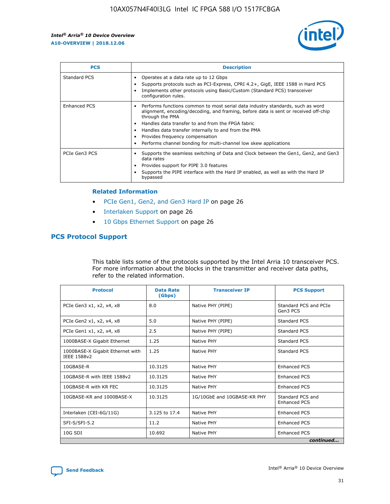

| <b>PCS</b>    | <b>Description</b>                                                                                                                                                                                                                                                                                                                                                                                                          |
|---------------|-----------------------------------------------------------------------------------------------------------------------------------------------------------------------------------------------------------------------------------------------------------------------------------------------------------------------------------------------------------------------------------------------------------------------------|
| Standard PCS  | Operates at a data rate up to 12 Gbps<br>Supports protocols such as PCI-Express, CPRI 4.2+, GigE, IEEE 1588 in Hard PCS<br>Implements other protocols using Basic/Custom (Standard PCS) transceiver<br>configuration rules.                                                                                                                                                                                                 |
| Enhanced PCS  | Performs functions common to most serial data industry standards, such as word<br>$\bullet$<br>alignment, encoding/decoding, and framing, before data is sent or received off-chip<br>through the PMA<br>• Handles data transfer to and from the FPGA fabric<br>Handles data transfer internally to and from the PMA<br>Provides frequency compensation<br>Performs channel bonding for multi-channel low skew applications |
| PCIe Gen3 PCS | Supports the seamless switching of Data and Clock between the Gen1, Gen2, and Gen3<br>data rates<br>Provides support for PIPE 3.0 features<br>Supports the PIPE interface with the Hard IP enabled, as well as with the Hard IP<br>bypassed                                                                                                                                                                                 |

#### **Related Information**

- PCIe Gen1, Gen2, and Gen3 Hard IP on page 26
- Interlaken Support on page 26
- 10 Gbps Ethernet Support on page 26

## **PCS Protocol Support**

This table lists some of the protocols supported by the Intel Arria 10 transceiver PCS. For more information about the blocks in the transmitter and receiver data paths, refer to the related information.

| <b>Protocol</b>                                 | <b>Data Rate</b><br>(Gbps) | <b>Transceiver IP</b>       | <b>PCS Support</b>                      |
|-------------------------------------------------|----------------------------|-----------------------------|-----------------------------------------|
| PCIe Gen3 x1, x2, x4, x8                        | 8.0                        | Native PHY (PIPE)           | Standard PCS and PCIe<br>Gen3 PCS       |
| PCIe Gen2 x1, x2, x4, x8                        | 5.0                        | Native PHY (PIPE)           | <b>Standard PCS</b>                     |
| PCIe Gen1 x1, x2, x4, x8                        | 2.5                        | Native PHY (PIPE)           | Standard PCS                            |
| 1000BASE-X Gigabit Ethernet                     | 1.25                       | Native PHY                  | Standard PCS                            |
| 1000BASE-X Gigabit Ethernet with<br>IEEE 1588v2 | 1.25                       | Native PHY                  | Standard PCS                            |
| 10GBASE-R                                       | 10.3125                    | Native PHY                  | <b>Enhanced PCS</b>                     |
| 10GBASE-R with IEEE 1588v2                      | 10.3125                    | Native PHY                  | <b>Enhanced PCS</b>                     |
| 10GBASE-R with KR FEC                           | 10.3125                    | Native PHY                  | <b>Enhanced PCS</b>                     |
| 10GBASE-KR and 1000BASE-X                       | 10.3125                    | 1G/10GbE and 10GBASE-KR PHY | Standard PCS and<br><b>Enhanced PCS</b> |
| Interlaken (CEI-6G/11G)                         | 3.125 to 17.4              | Native PHY                  | <b>Enhanced PCS</b>                     |
| SFI-S/SFI-5.2                                   | 11.2                       | Native PHY                  | <b>Enhanced PCS</b>                     |
| $10G$ SDI                                       | 10.692                     | Native PHY                  | <b>Enhanced PCS</b>                     |
|                                                 |                            |                             | continued                               |

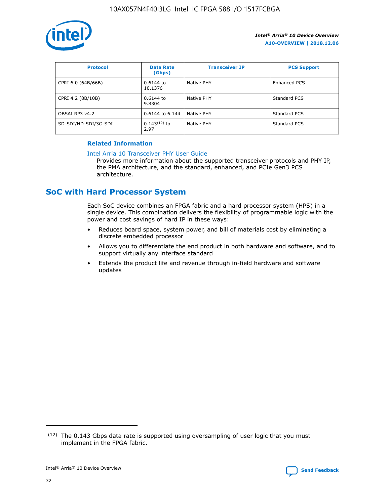

| <b>Protocol</b>      | <b>Data Rate</b><br>(Gbps) | <b>Transceiver IP</b> | <b>PCS Support</b> |
|----------------------|----------------------------|-----------------------|--------------------|
| CPRI 6.0 (64B/66B)   | 0.6144 to<br>10.1376       | Native PHY            | Enhanced PCS       |
| CPRI 4.2 (8B/10B)    | 0.6144 to<br>9.8304        | Native PHY            | Standard PCS       |
| OBSAI RP3 v4.2       | 0.6144 to 6.144            | Native PHY            | Standard PCS       |
| SD-SDI/HD-SDI/3G-SDI | $0.143(12)$ to<br>2.97     | Native PHY            | Standard PCS       |

## **Related Information**

#### [Intel Arria 10 Transceiver PHY User Guide](https://www.intel.com/content/www/us/en/programmable/documentation/nik1398707230472.html#nik1398707091164)

Provides more information about the supported transceiver protocols and PHY IP, the PMA architecture, and the standard, enhanced, and PCIe Gen3 PCS architecture.

## **SoC with Hard Processor System**

Each SoC device combines an FPGA fabric and a hard processor system (HPS) in a single device. This combination delivers the flexibility of programmable logic with the power and cost savings of hard IP in these ways:

- Reduces board space, system power, and bill of materials cost by eliminating a discrete embedded processor
- Allows you to differentiate the end product in both hardware and software, and to support virtually any interface standard
- Extends the product life and revenue through in-field hardware and software updates

 $(12)$  The 0.143 Gbps data rate is supported using oversampling of user logic that you must implement in the FPGA fabric.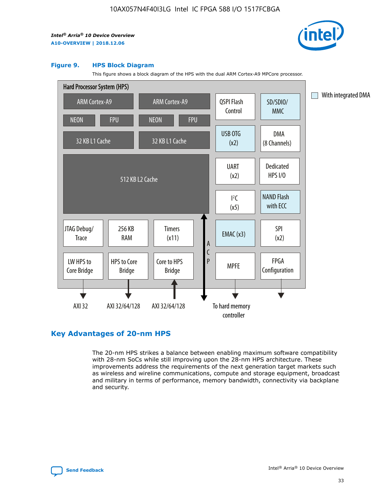

#### **Figure 9. HPS Block Diagram**

This figure shows a block diagram of the HPS with the dual ARM Cortex-A9 MPCore processor.



## **Key Advantages of 20-nm HPS**

The 20-nm HPS strikes a balance between enabling maximum software compatibility with 28-nm SoCs while still improving upon the 28-nm HPS architecture. These improvements address the requirements of the next generation target markets such as wireless and wireline communications, compute and storage equipment, broadcast and military in terms of performance, memory bandwidth, connectivity via backplane and security.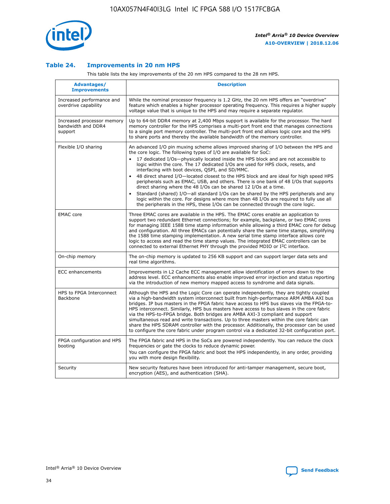

## **Table 24. Improvements in 20 nm HPS**

This table lists the key improvements of the 20 nm HPS compared to the 28 nm HPS.

| Advantages/<br><b>Improvements</b>                          | <b>Description</b>                                                                                                                                                                                                                                                                                                                                                                                                                                                                                                                                                                                                                                                                                                                                                                                                                                                                                                                                |
|-------------------------------------------------------------|---------------------------------------------------------------------------------------------------------------------------------------------------------------------------------------------------------------------------------------------------------------------------------------------------------------------------------------------------------------------------------------------------------------------------------------------------------------------------------------------------------------------------------------------------------------------------------------------------------------------------------------------------------------------------------------------------------------------------------------------------------------------------------------------------------------------------------------------------------------------------------------------------------------------------------------------------|
| Increased performance and<br>overdrive capability           | While the nominal processor frequency is 1.2 GHz, the 20 nm HPS offers an "overdrive"<br>feature which enables a higher processor operating frequency. This requires a higher supply<br>voltage value that is unique to the HPS and may require a separate regulator.                                                                                                                                                                                                                                                                                                                                                                                                                                                                                                                                                                                                                                                                             |
| Increased processor memory<br>bandwidth and DDR4<br>support | Up to 64-bit DDR4 memory at 2,400 Mbps support is available for the processor. The hard<br>memory controller for the HPS comprises a multi-port front end that manages connections<br>to a single port memory controller. The multi-port front end allows logic core and the HPS<br>to share ports and thereby the available bandwidth of the memory controller.                                                                                                                                                                                                                                                                                                                                                                                                                                                                                                                                                                                  |
| Flexible I/O sharing                                        | An advanced I/O pin muxing scheme allows improved sharing of I/O between the HPS and<br>the core logic. The following types of I/O are available for SoC:<br>$\bullet$<br>17 dedicated I/Os-physically located inside the HPS block and are not accessible to<br>logic within the core. The 17 dedicated I/Os are used for HPS clock, resets, and<br>interfacing with boot devices, QSPI, and SD/MMC.<br>48 direct shared I/O-located closest to the HPS block and are ideal for high speed HPS<br>$\bullet$<br>peripherals such as EMAC, USB, and others. There is one bank of 48 I/Os that supports<br>direct sharing where the 48 I/Os can be shared 12 I/Os at a time.<br>Standard (shared) I/O-all standard I/Os can be shared by the HPS peripherals and any<br>logic within the core. For designs where more than 48 I/Os are required to fully use all<br>the peripherals in the HPS, these I/Os can be connected through the core logic. |
| <b>EMAC</b> core                                            | Three EMAC cores are available in the HPS. The EMAC cores enable an application to<br>support two redundant Ethernet connections; for example, backplane, or two EMAC cores<br>for managing IEEE 1588 time stamp information while allowing a third EMAC core for debug<br>and configuration. All three EMACs can potentially share the same time stamps, simplifying<br>the 1588 time stamping implementation. A new serial time stamp interface allows core<br>logic to access and read the time stamp values. The integrated EMAC controllers can be<br>connected to external Ethernet PHY through the provided MDIO or I <sup>2</sup> C interface.                                                                                                                                                                                                                                                                                            |
| On-chip memory                                              | The on-chip memory is updated to 256 KB support and can support larger data sets and<br>real time algorithms.                                                                                                                                                                                                                                                                                                                                                                                                                                                                                                                                                                                                                                                                                                                                                                                                                                     |
| <b>ECC</b> enhancements                                     | Improvements in L2 Cache ECC management allow identification of errors down to the<br>address level. ECC enhancements also enable improved error injection and status reporting<br>via the introduction of new memory mapped access to syndrome and data signals.                                                                                                                                                                                                                                                                                                                                                                                                                                                                                                                                                                                                                                                                                 |
| HPS to FPGA Interconnect<br>Backbone                        | Although the HPS and the Logic Core can operate independently, they are tightly coupled<br>via a high-bandwidth system interconnect built from high-performance ARM AMBA AXI bus<br>bridges. IP bus masters in the FPGA fabric have access to HPS bus slaves via the FPGA-to-<br>HPS interconnect. Similarly, HPS bus masters have access to bus slaves in the core fabric<br>via the HPS-to-FPGA bridge. Both bridges are AMBA AXI-3 compliant and support<br>simultaneous read and write transactions. Up to three masters within the core fabric can<br>share the HPS SDRAM controller with the processor. Additionally, the processor can be used<br>to configure the core fabric under program control via a dedicated 32-bit configuration port.                                                                                                                                                                                            |
| FPGA configuration and HPS<br>booting                       | The FPGA fabric and HPS in the SoCs are powered independently. You can reduce the clock<br>frequencies or gate the clocks to reduce dynamic power.<br>You can configure the FPGA fabric and boot the HPS independently, in any order, providing<br>you with more design flexibility.                                                                                                                                                                                                                                                                                                                                                                                                                                                                                                                                                                                                                                                              |
| Security                                                    | New security features have been introduced for anti-tamper management, secure boot,<br>encryption (AES), and authentication (SHA).                                                                                                                                                                                                                                                                                                                                                                                                                                                                                                                                                                                                                                                                                                                                                                                                                |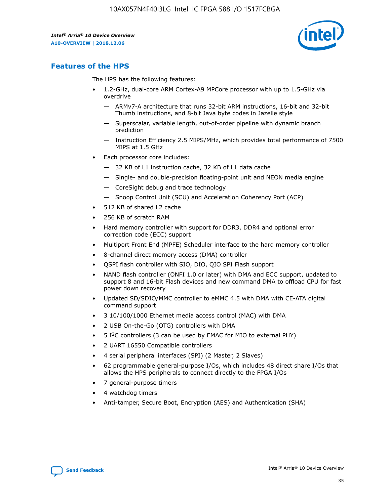

## **Features of the HPS**

The HPS has the following features:

- 1.2-GHz, dual-core ARM Cortex-A9 MPCore processor with up to 1.5-GHz via overdrive
	- ARMv7-A architecture that runs 32-bit ARM instructions, 16-bit and 32-bit Thumb instructions, and 8-bit Java byte codes in Jazelle style
	- Superscalar, variable length, out-of-order pipeline with dynamic branch prediction
	- Instruction Efficiency 2.5 MIPS/MHz, which provides total performance of 7500 MIPS at 1.5 GHz
- Each processor core includes:
	- 32 KB of L1 instruction cache, 32 KB of L1 data cache
	- Single- and double-precision floating-point unit and NEON media engine
	- CoreSight debug and trace technology
	- Snoop Control Unit (SCU) and Acceleration Coherency Port (ACP)
- 512 KB of shared L2 cache
- 256 KB of scratch RAM
- Hard memory controller with support for DDR3, DDR4 and optional error correction code (ECC) support
- Multiport Front End (MPFE) Scheduler interface to the hard memory controller
- 8-channel direct memory access (DMA) controller
- QSPI flash controller with SIO, DIO, QIO SPI Flash support
- NAND flash controller (ONFI 1.0 or later) with DMA and ECC support, updated to support 8 and 16-bit Flash devices and new command DMA to offload CPU for fast power down recovery
- Updated SD/SDIO/MMC controller to eMMC 4.5 with DMA with CE-ATA digital command support
- 3 10/100/1000 Ethernet media access control (MAC) with DMA
- 2 USB On-the-Go (OTG) controllers with DMA
- $\bullet$  5 I<sup>2</sup>C controllers (3 can be used by EMAC for MIO to external PHY)
- 2 UART 16550 Compatible controllers
- 4 serial peripheral interfaces (SPI) (2 Master, 2 Slaves)
- 62 programmable general-purpose I/Os, which includes 48 direct share I/Os that allows the HPS peripherals to connect directly to the FPGA I/Os
- 7 general-purpose timers
- 4 watchdog timers
- Anti-tamper, Secure Boot, Encryption (AES) and Authentication (SHA)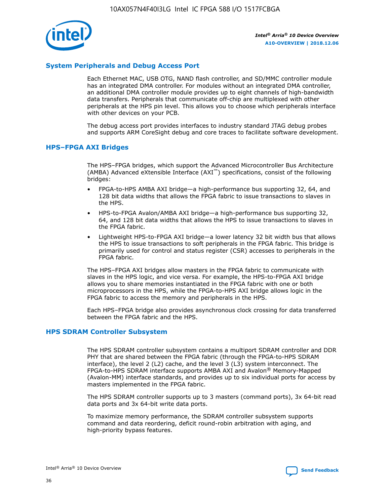

## **System Peripherals and Debug Access Port**

Each Ethernet MAC, USB OTG, NAND flash controller, and SD/MMC controller module has an integrated DMA controller. For modules without an integrated DMA controller, an additional DMA controller module provides up to eight channels of high-bandwidth data transfers. Peripherals that communicate off-chip are multiplexed with other peripherals at the HPS pin level. This allows you to choose which peripherals interface with other devices on your PCB.

The debug access port provides interfaces to industry standard JTAG debug probes and supports ARM CoreSight debug and core traces to facilitate software development.

## **HPS–FPGA AXI Bridges**

The HPS–FPGA bridges, which support the Advanced Microcontroller Bus Architecture (AMBA) Advanced eXtensible Interface (AXI™) specifications, consist of the following bridges:

- FPGA-to-HPS AMBA AXI bridge—a high-performance bus supporting 32, 64, and 128 bit data widths that allows the FPGA fabric to issue transactions to slaves in the HPS.
- HPS-to-FPGA Avalon/AMBA AXI bridge—a high-performance bus supporting 32, 64, and 128 bit data widths that allows the HPS to issue transactions to slaves in the FPGA fabric.
- Lightweight HPS-to-FPGA AXI bridge—a lower latency 32 bit width bus that allows the HPS to issue transactions to soft peripherals in the FPGA fabric. This bridge is primarily used for control and status register (CSR) accesses to peripherals in the FPGA fabric.

The HPS–FPGA AXI bridges allow masters in the FPGA fabric to communicate with slaves in the HPS logic, and vice versa. For example, the HPS-to-FPGA AXI bridge allows you to share memories instantiated in the FPGA fabric with one or both microprocessors in the HPS, while the FPGA-to-HPS AXI bridge allows logic in the FPGA fabric to access the memory and peripherals in the HPS.

Each HPS–FPGA bridge also provides asynchronous clock crossing for data transferred between the FPGA fabric and the HPS.

#### **HPS SDRAM Controller Subsystem**

The HPS SDRAM controller subsystem contains a multiport SDRAM controller and DDR PHY that are shared between the FPGA fabric (through the FPGA-to-HPS SDRAM interface), the level 2 (L2) cache, and the level 3 (L3) system interconnect. The FPGA-to-HPS SDRAM interface supports AMBA AXI and Avalon® Memory-Mapped (Avalon-MM) interface standards, and provides up to six individual ports for access by masters implemented in the FPGA fabric.

The HPS SDRAM controller supports up to 3 masters (command ports), 3x 64-bit read data ports and 3x 64-bit write data ports.

To maximize memory performance, the SDRAM controller subsystem supports command and data reordering, deficit round-robin arbitration with aging, and high-priority bypass features.

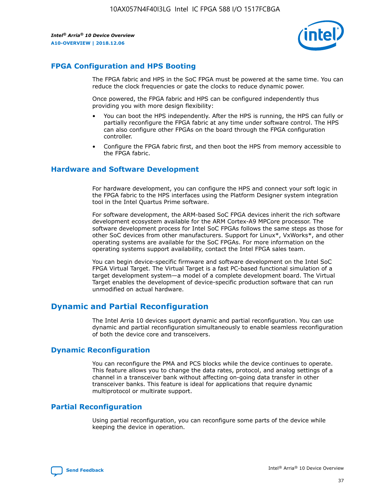

## **FPGA Configuration and HPS Booting**

The FPGA fabric and HPS in the SoC FPGA must be powered at the same time. You can reduce the clock frequencies or gate the clocks to reduce dynamic power.

Once powered, the FPGA fabric and HPS can be configured independently thus providing you with more design flexibility:

- You can boot the HPS independently. After the HPS is running, the HPS can fully or partially reconfigure the FPGA fabric at any time under software control. The HPS can also configure other FPGAs on the board through the FPGA configuration controller.
- Configure the FPGA fabric first, and then boot the HPS from memory accessible to the FPGA fabric.

## **Hardware and Software Development**

For hardware development, you can configure the HPS and connect your soft logic in the FPGA fabric to the HPS interfaces using the Platform Designer system integration tool in the Intel Quartus Prime software.

For software development, the ARM-based SoC FPGA devices inherit the rich software development ecosystem available for the ARM Cortex-A9 MPCore processor. The software development process for Intel SoC FPGAs follows the same steps as those for other SoC devices from other manufacturers. Support for Linux\*, VxWorks\*, and other operating systems are available for the SoC FPGAs. For more information on the operating systems support availability, contact the Intel FPGA sales team.

You can begin device-specific firmware and software development on the Intel SoC FPGA Virtual Target. The Virtual Target is a fast PC-based functional simulation of a target development system—a model of a complete development board. The Virtual Target enables the development of device-specific production software that can run unmodified on actual hardware.

## **Dynamic and Partial Reconfiguration**

The Intel Arria 10 devices support dynamic and partial reconfiguration. You can use dynamic and partial reconfiguration simultaneously to enable seamless reconfiguration of both the device core and transceivers.

## **Dynamic Reconfiguration**

You can reconfigure the PMA and PCS blocks while the device continues to operate. This feature allows you to change the data rates, protocol, and analog settings of a channel in a transceiver bank without affecting on-going data transfer in other transceiver banks. This feature is ideal for applications that require dynamic multiprotocol or multirate support.

## **Partial Reconfiguration**

Using partial reconfiguration, you can reconfigure some parts of the device while keeping the device in operation.

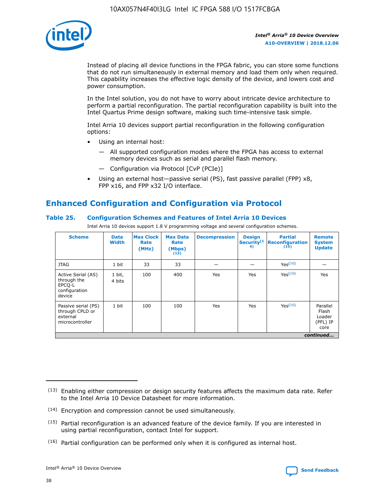

Instead of placing all device functions in the FPGA fabric, you can store some functions that do not run simultaneously in external memory and load them only when required. This capability increases the effective logic density of the device, and lowers cost and power consumption.

In the Intel solution, you do not have to worry about intricate device architecture to perform a partial reconfiguration. The partial reconfiguration capability is built into the Intel Quartus Prime design software, making such time-intensive task simple.

Intel Arria 10 devices support partial reconfiguration in the following configuration options:

- Using an internal host:
	- All supported configuration modes where the FPGA has access to external memory devices such as serial and parallel flash memory.
	- Configuration via Protocol [CvP (PCIe)]
- Using an external host—passive serial (PS), fast passive parallel (FPP) x8, FPP x16, and FPP x32 I/O interface.

# **Enhanced Configuration and Configuration via Protocol**

## **Table 25. Configuration Schemes and Features of Intel Arria 10 Devices**

Intel Arria 10 devices support 1.8 V programming voltage and several configuration schemes.

| <b>Scheme</b>                                                          | <b>Data</b><br><b>Width</b> | <b>Max Clock</b><br>Rate<br>(MHz) | <b>Max Data</b><br>Rate<br>(Mbps)<br>(13) | <b>Decompression</b> | <b>Design</b><br>Security <sup>(1</sup><br>4) | <b>Partial</b><br>Reconfiguration<br>(15) | <b>Remote</b><br><b>System</b><br><b>Update</b> |
|------------------------------------------------------------------------|-----------------------------|-----------------------------------|-------------------------------------------|----------------------|-----------------------------------------------|-------------------------------------------|-------------------------------------------------|
| <b>JTAG</b>                                                            | 1 bit                       | 33                                | 33                                        |                      |                                               | Yes(16)                                   |                                                 |
| Active Serial (AS)<br>through the<br>EPCO-L<br>configuration<br>device | 1 bit,<br>4 bits            | 100                               | 400                                       | Yes                  | Yes                                           | Yes(16)                                   | Yes                                             |
| Passive serial (PS)<br>through CPLD or<br>external<br>microcontroller  | 1 bit                       | 100                               | 100                                       | Yes                  | Yes                                           | Yes <sup>(16)</sup>                       | Parallel<br>Flash<br>Loader<br>(PFL) IP<br>core |
|                                                                        |                             |                                   |                                           |                      |                                               |                                           | continued                                       |

<sup>(13)</sup> Enabling either compression or design security features affects the maximum data rate. Refer to the Intel Arria 10 Device Datasheet for more information.

<sup>(14)</sup> Encryption and compression cannot be used simultaneously.

 $(15)$  Partial reconfiguration is an advanced feature of the device family. If you are interested in using partial reconfiguration, contact Intel for support.

 $(16)$  Partial configuration can be performed only when it is configured as internal host.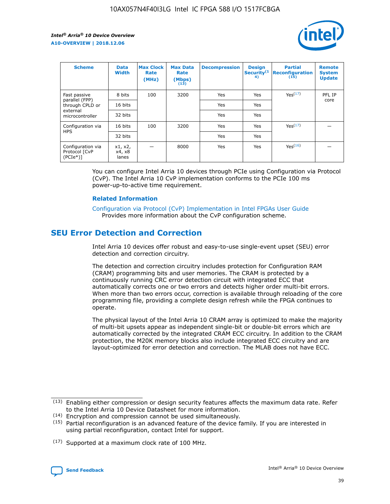

| <b>Scheme</b>                                    | <b>Data</b><br><b>Width</b> | <b>Max Clock</b><br>Rate<br>(MHz) | <b>Max Data</b><br>Rate<br>(Mbps)<br>(13) | <b>Decompression</b> | <b>Design</b><br>Security <sup>(1</sup><br>4) | <b>Partial</b><br><b>Reconfiguration</b><br>(15) | <b>Remote</b><br><b>System</b><br><b>Update</b> |
|--------------------------------------------------|-----------------------------|-----------------------------------|-------------------------------------------|----------------------|-----------------------------------------------|--------------------------------------------------|-------------------------------------------------|
| Fast passive                                     | 8 bits                      | 100                               | 3200                                      | Yes                  | Yes                                           | Yes(17)                                          | PFL IP                                          |
| parallel (FPP)<br>through CPLD or                | 16 bits                     |                                   |                                           | Yes                  | Yes                                           |                                                  | core                                            |
| external<br>microcontroller                      | 32 bits                     |                                   |                                           | Yes                  | Yes                                           |                                                  |                                                 |
| Configuration via                                | 16 bits                     | 100                               | 3200                                      | Yes                  | Yes                                           | Yes <sup>(17)</sup>                              |                                                 |
| <b>HPS</b>                                       | 32 bits                     |                                   |                                           | Yes                  | Yes                                           |                                                  |                                                 |
| Configuration via<br>Protocol [CvP<br>$(PCIe^*)$ | x1, x2,<br>x4, x8<br>lanes  |                                   | 8000                                      | Yes                  | Yes                                           | Yes <sup>(16)</sup>                              |                                                 |

You can configure Intel Arria 10 devices through PCIe using Configuration via Protocol (CvP). The Intel Arria 10 CvP implementation conforms to the PCIe 100 ms power-up-to-active time requirement.

#### **Related Information**

[Configuration via Protocol \(CvP\) Implementation in Intel FPGAs User Guide](https://www.intel.com/content/www/us/en/programmable/documentation/dsu1441819344145.html#dsu1442269728522) Provides more information about the CvP configuration scheme.

## **SEU Error Detection and Correction**

Intel Arria 10 devices offer robust and easy-to-use single-event upset (SEU) error detection and correction circuitry.

The detection and correction circuitry includes protection for Configuration RAM (CRAM) programming bits and user memories. The CRAM is protected by a continuously running CRC error detection circuit with integrated ECC that automatically corrects one or two errors and detects higher order multi-bit errors. When more than two errors occur, correction is available through reloading of the core programming file, providing a complete design refresh while the FPGA continues to operate.

The physical layout of the Intel Arria 10 CRAM array is optimized to make the majority of multi-bit upsets appear as independent single-bit or double-bit errors which are automatically corrected by the integrated CRAM ECC circuitry. In addition to the CRAM protection, the M20K memory blocks also include integrated ECC circuitry and are layout-optimized for error detection and correction. The MLAB does not have ECC.

(14) Encryption and compression cannot be used simultaneously.

<sup>(17)</sup> Supported at a maximum clock rate of 100 MHz.



 $(13)$  Enabling either compression or design security features affects the maximum data rate. Refer to the Intel Arria 10 Device Datasheet for more information.

 $(15)$  Partial reconfiguration is an advanced feature of the device family. If you are interested in using partial reconfiguration, contact Intel for support.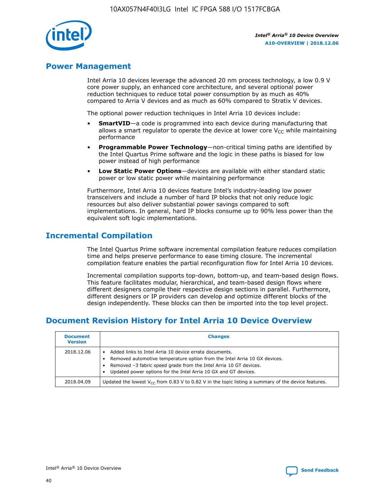

## **Power Management**

Intel Arria 10 devices leverage the advanced 20 nm process technology, a low 0.9 V core power supply, an enhanced core architecture, and several optional power reduction techniques to reduce total power consumption by as much as 40% compared to Arria V devices and as much as 60% compared to Stratix V devices.

The optional power reduction techniques in Intel Arria 10 devices include:

- **SmartVID**—a code is programmed into each device during manufacturing that allows a smart regulator to operate the device at lower core  $V_{CC}$  while maintaining performance
- **Programmable Power Technology**—non-critical timing paths are identified by the Intel Quartus Prime software and the logic in these paths is biased for low power instead of high performance
- **Low Static Power Options**—devices are available with either standard static power or low static power while maintaining performance

Furthermore, Intel Arria 10 devices feature Intel's industry-leading low power transceivers and include a number of hard IP blocks that not only reduce logic resources but also deliver substantial power savings compared to soft implementations. In general, hard IP blocks consume up to 90% less power than the equivalent soft logic implementations.

## **Incremental Compilation**

The Intel Quartus Prime software incremental compilation feature reduces compilation time and helps preserve performance to ease timing closure. The incremental compilation feature enables the partial reconfiguration flow for Intel Arria 10 devices.

Incremental compilation supports top-down, bottom-up, and team-based design flows. This feature facilitates modular, hierarchical, and team-based design flows where different designers compile their respective design sections in parallel. Furthermore, different designers or IP providers can develop and optimize different blocks of the design independently. These blocks can then be imported into the top level project.

## **Document Revision History for Intel Arria 10 Device Overview**

| <b>Document</b><br><b>Version</b> | <b>Changes</b>                                                                                                                                                                                                                                                              |
|-----------------------------------|-----------------------------------------------------------------------------------------------------------------------------------------------------------------------------------------------------------------------------------------------------------------------------|
| 2018.12.06                        | Added links to Intel Arria 10 device errata documents.<br>Removed automotive temperature option from the Intel Arria 10 GX devices.<br>Removed -3 fabric speed grade from the Intel Arria 10 GT devices.<br>Updated power options for the Intel Arria 10 GX and GT devices. |
| 2018.04.09                        | Updated the lowest $V_{CC}$ from 0.83 V to 0.82 V in the topic listing a summary of the device features.                                                                                                                                                                    |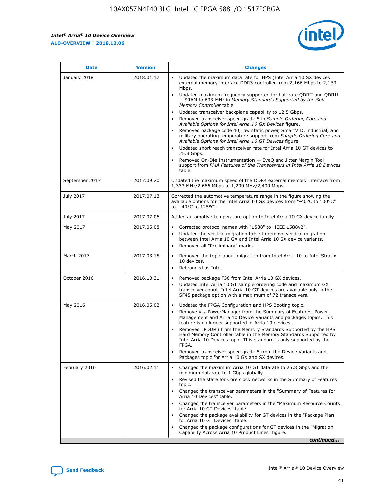*Intel® Arria® 10 Device Overview* **A10-OVERVIEW | 2018.12.06**



| <b>Date</b>    | <b>Version</b> | <b>Changes</b>                                                                                                                                                                                                                                                                                                                                                                                                                                                                                                                                                                                                                                                                                                                                                                                                                                                                                                                                                            |
|----------------|----------------|---------------------------------------------------------------------------------------------------------------------------------------------------------------------------------------------------------------------------------------------------------------------------------------------------------------------------------------------------------------------------------------------------------------------------------------------------------------------------------------------------------------------------------------------------------------------------------------------------------------------------------------------------------------------------------------------------------------------------------------------------------------------------------------------------------------------------------------------------------------------------------------------------------------------------------------------------------------------------|
| January 2018   | 2018.01.17     | Updated the maximum data rate for HPS (Intel Arria 10 SX devices<br>external memory interface DDR3 controller from 2,166 Mbps to 2,133<br>Mbps.<br>Updated maximum frequency supported for half rate QDRII and QDRII<br>+ SRAM to 633 MHz in Memory Standards Supported by the Soft<br>Memory Controller table.<br>Updated transceiver backplane capability to 12.5 Gbps.<br>$\bullet$<br>Removed transceiver speed grade 5 in Sample Ordering Core and<br>Available Options for Intel Arria 10 GX Devices figure.<br>Removed package code 40, low static power, SmartVID, industrial, and<br>military operating temperature support from Sample Ordering Core and<br>Available Options for Intel Arria 10 GT Devices figure.<br>Updated short reach transceiver rate for Intel Arria 10 GT devices to<br>25.8 Gbps.<br>Removed On-Die Instrumentation - EyeQ and Jitter Margin Tool<br>support from PMA Features of the Transceivers in Intel Arria 10 Devices<br>table. |
| September 2017 | 2017.09.20     | Updated the maximum speed of the DDR4 external memory interface from<br>1,333 MHz/2,666 Mbps to 1,200 MHz/2,400 Mbps.                                                                                                                                                                                                                                                                                                                                                                                                                                                                                                                                                                                                                                                                                                                                                                                                                                                     |
| July 2017      | 2017.07.13     | Corrected the automotive temperature range in the figure showing the<br>available options for the Intel Arria 10 GX devices from "-40°C to 100°C"<br>to "-40°C to 125°C".                                                                                                                                                                                                                                                                                                                                                                                                                                                                                                                                                                                                                                                                                                                                                                                                 |
| July 2017      | 2017.07.06     | Added automotive temperature option to Intel Arria 10 GX device family.                                                                                                                                                                                                                                                                                                                                                                                                                                                                                                                                                                                                                                                                                                                                                                                                                                                                                                   |
| May 2017       | 2017.05.08     | Corrected protocol names with "1588" to "IEEE 1588v2".<br>$\bullet$<br>Updated the vertical migration table to remove vertical migration<br>$\bullet$<br>between Intel Arria 10 GX and Intel Arria 10 SX device variants.<br>Removed all "Preliminary" marks.<br>$\bullet$                                                                                                                                                                                                                                                                                                                                                                                                                                                                                                                                                                                                                                                                                                |
| March 2017     | 2017.03.15     | Removed the topic about migration from Intel Arria 10 to Intel Stratix<br>10 devices.<br>Rebranded as Intel.<br>$\bullet$                                                                                                                                                                                                                                                                                                                                                                                                                                                                                                                                                                                                                                                                                                                                                                                                                                                 |
| October 2016   | 2016.10.31     | Removed package F36 from Intel Arria 10 GX devices.<br>Updated Intel Arria 10 GT sample ordering code and maximum GX<br>$\bullet$<br>transceiver count. Intel Arria 10 GT devices are available only in the<br>SF45 package option with a maximum of 72 transceivers.                                                                                                                                                                                                                                                                                                                                                                                                                                                                                                                                                                                                                                                                                                     |
| May 2016       | 2016.05.02     | Updated the FPGA Configuration and HPS Booting topic.<br>$\bullet$<br>Remove V <sub>CC</sub> PowerManager from the Summary of Features, Power<br>Management and Arria 10 Device Variants and packages topics. This<br>feature is no longer supported in Arria 10 devices.<br>Removed LPDDR3 from the Memory Standards Supported by the HPS<br>Hard Memory Controller table in the Memory Standards Supported by<br>Intel Arria 10 Devices topic. This standard is only supported by the<br>FPGA.<br>Removed transceiver speed grade 5 from the Device Variants and<br>Packages topic for Arria 10 GX and SX devices.                                                                                                                                                                                                                                                                                                                                                      |
| February 2016  | 2016.02.11     | Changed the maximum Arria 10 GT datarate to 25.8 Gbps and the<br>minimum datarate to 1 Gbps globally.<br>Revised the state for Core clock networks in the Summary of Features<br>$\bullet$<br>topic.<br>Changed the transceiver parameters in the "Summary of Features for<br>$\bullet$<br>Arria 10 Devices" table.<br>• Changed the transceiver parameters in the "Maximum Resource Counts<br>for Arria 10 GT Devices" table.<br>Changed the package availability for GT devices in the "Package Plan<br>for Arria 10 GT Devices" table.<br>Changed the package configurations for GT devices in the "Migration"<br>Capability Across Arria 10 Product Lines" figure.<br>continued                                                                                                                                                                                                                                                                                       |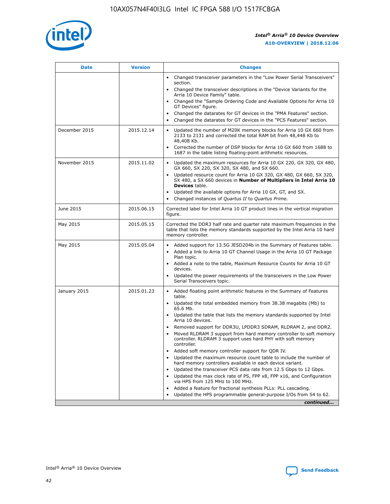

| <b>Date</b>   | <b>Version</b> | <b>Changes</b>                                                                                                                                                               |
|---------------|----------------|------------------------------------------------------------------------------------------------------------------------------------------------------------------------------|
|               |                | • Changed transceiver parameters in the "Low Power Serial Transceivers"<br>section.                                                                                          |
|               |                | • Changed the transceiver descriptions in the "Device Variants for the<br>Arria 10 Device Family" table.                                                                     |
|               |                | Changed the "Sample Ordering Code and Available Options for Arria 10<br>$\bullet$<br>GT Devices" figure.                                                                     |
|               |                | Changed the datarates for GT devices in the "PMA Features" section.                                                                                                          |
|               |                | Changed the datarates for GT devices in the "PCS Features" section.<br>$\bullet$                                                                                             |
| December 2015 | 2015.12.14     | Updated the number of M20K memory blocks for Arria 10 GX 660 from<br>2133 to 2131 and corrected the total RAM bit from 48,448 Kb to<br>48,408 Kb.                            |
|               |                | Corrected the number of DSP blocks for Arria 10 GX 660 from 1688 to<br>1687 in the table listing floating-point arithmetic resources.                                        |
| November 2015 | 2015.11.02     | Updated the maximum resources for Arria 10 GX 220, GX 320, GX 480,<br>$\bullet$<br>GX 660, SX 220, SX 320, SX 480, and SX 660.                                               |
|               |                | • Updated resource count for Arria 10 GX 320, GX 480, GX 660, SX 320,<br>SX 480, a SX 660 devices in Number of Multipliers in Intel Arria 10<br><b>Devices</b> table.        |
|               |                | Updated the available options for Arria 10 GX, GT, and SX.                                                                                                                   |
|               |                | Changed instances of Quartus II to Quartus Prime.<br>$\bullet$                                                                                                               |
| June 2015     | 2015.06.15     | Corrected label for Intel Arria 10 GT product lines in the vertical migration<br>figure.                                                                                     |
| May 2015      | 2015.05.15     | Corrected the DDR3 half rate and quarter rate maximum frequencies in the<br>table that lists the memory standards supported by the Intel Arria 10 hard<br>memory controller. |
| May 2015      | 2015.05.04     | • Added support for 13.5G JESD204b in the Summary of Features table.                                                                                                         |
|               |                | • Added a link to Arria 10 GT Channel Usage in the Arria 10 GT Package<br>Plan topic.                                                                                        |
|               |                | • Added a note to the table, Maximum Resource Counts for Arria 10 GT<br>devices.                                                                                             |
|               |                | • Updated the power requirements of the transceivers in the Low Power<br>Serial Transceivers topic.                                                                          |
| January 2015  | 2015.01.23     | • Added floating point arithmetic features in the Summary of Features<br>table.                                                                                              |
|               |                | • Updated the total embedded memory from 38.38 megabits (Mb) to<br>65.6 Mb.                                                                                                  |
|               |                | • Updated the table that lists the memory standards supported by Intel<br>Arria 10 devices.                                                                                  |
|               |                | Removed support for DDR3U, LPDDR3 SDRAM, RLDRAM 2, and DDR2.                                                                                                                 |
|               |                | Moved RLDRAM 3 support from hard memory controller to soft memory<br>controller. RLDRAM 3 support uses hard PHY with soft memory<br>controller.                              |
|               |                | Added soft memory controller support for QDR IV.<br>٠                                                                                                                        |
|               |                | Updated the maximum resource count table to include the number of<br>hard memory controllers available in each device variant.                                               |
|               |                | Updated the transceiver PCS data rate from 12.5 Gbps to 12 Gbps.<br>$\bullet$                                                                                                |
|               |                | Updated the max clock rate of PS, FPP x8, FPP x16, and Configuration<br>via HPS from 125 MHz to 100 MHz.                                                                     |
|               |                | Added a feature for fractional synthesis PLLs: PLL cascading.                                                                                                                |
|               |                | Updated the HPS programmable general-purpose I/Os from 54 to 62.<br>$\bullet$                                                                                                |
|               |                | continued                                                                                                                                                                    |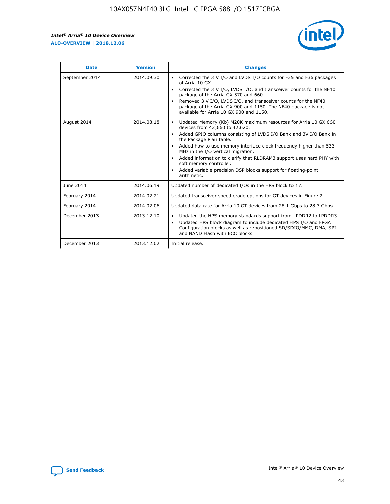r



| <b>Date</b>    | <b>Version</b> | <b>Changes</b>                                                                                                                                                                                                                                                                                                                                                                                                                                                                                                                                      |
|----------------|----------------|-----------------------------------------------------------------------------------------------------------------------------------------------------------------------------------------------------------------------------------------------------------------------------------------------------------------------------------------------------------------------------------------------------------------------------------------------------------------------------------------------------------------------------------------------------|
| September 2014 | 2014.09.30     | Corrected the 3 V I/O and LVDS I/O counts for F35 and F36 packages<br>$\bullet$<br>of Arria 10 GX.<br>Corrected the 3 V I/O, LVDS I/O, and transceiver counts for the NF40<br>$\bullet$<br>package of the Arria GX 570 and 660.<br>Removed 3 V I/O, LVDS I/O, and transceiver counts for the NF40<br>$\bullet$<br>package of the Arria GX 900 and 1150. The NF40 package is not<br>available for Arria 10 GX 900 and 1150.                                                                                                                          |
| August 2014    | 2014.08.18     | Updated Memory (Kb) M20K maximum resources for Arria 10 GX 660<br>devices from 42,660 to 42,620.<br>Added GPIO columns consisting of LVDS I/O Bank and 3V I/O Bank in<br>$\bullet$<br>the Package Plan table.<br>Added how to use memory interface clock frequency higher than 533<br>$\bullet$<br>MHz in the I/O vertical migration.<br>Added information to clarify that RLDRAM3 support uses hard PHY with<br>$\bullet$<br>soft memory controller.<br>Added variable precision DSP blocks support for floating-point<br>$\bullet$<br>arithmetic. |
| June 2014      | 2014.06.19     | Updated number of dedicated I/Os in the HPS block to 17.                                                                                                                                                                                                                                                                                                                                                                                                                                                                                            |
| February 2014  | 2014.02.21     | Updated transceiver speed grade options for GT devices in Figure 2.                                                                                                                                                                                                                                                                                                                                                                                                                                                                                 |
| February 2014  | 2014.02.06     | Updated data rate for Arria 10 GT devices from 28.1 Gbps to 28.3 Gbps.                                                                                                                                                                                                                                                                                                                                                                                                                                                                              |
| December 2013  | 2013.12.10     | Updated the HPS memory standards support from LPDDR2 to LPDDR3.<br>Updated HPS block diagram to include dedicated HPS I/O and FPGA<br>$\bullet$<br>Configuration blocks as well as repositioned SD/SDIO/MMC, DMA, SPI<br>and NAND Flash with ECC blocks.                                                                                                                                                                                                                                                                                            |
| December 2013  | 2013.12.02     | Initial release.                                                                                                                                                                                                                                                                                                                                                                                                                                                                                                                                    |